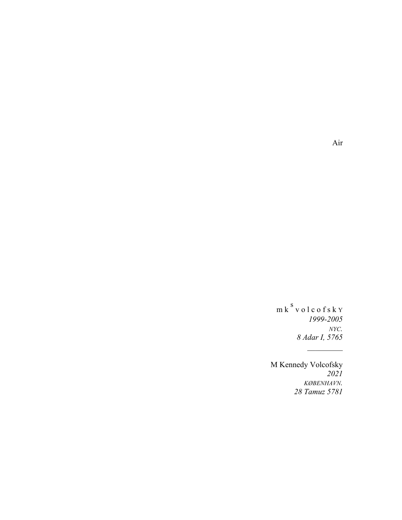m  $k^{\text{S}}$  v o l c o f s k  $Y$ *1999-2005 NYC. 8 Adar I, 5765*

*\_\_\_\_\_\_\_\_\_*

M Kennedy Volcofsky *2021 KØBENHAVN. 28 Tamuz 5781*

Air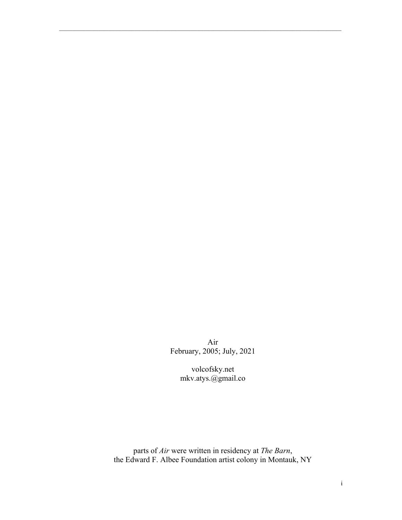Air February, 2005; July, 2021

 $\_$  , and the state of the state of the state of the state of the state of the state of the state of the state of the state of the state of the state of the state of the state of the state of the state of the state of the

volcofsky.net mkv.atys.@gmail.co

parts of *Air* were written in residency at *The Barn*, the Edward F. Albee Foundation artist colony in Montauk, NY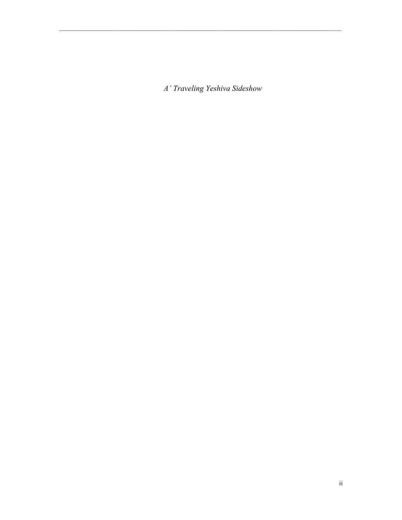A' Traveling Yeshiva Sideshow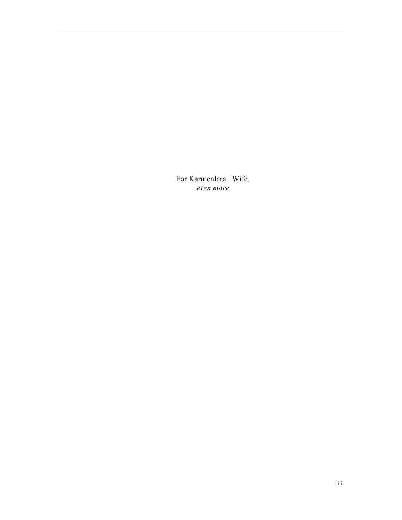For Karmenlara. Wife. even more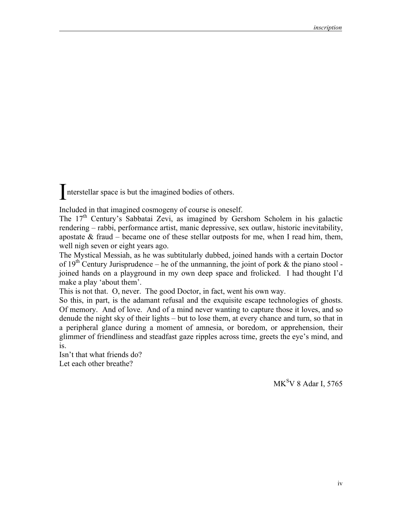Interstellar space is but the imagined bodies of others.

Included in that imagined cosmogeny of course is oneself.

The 17<sup>th</sup> Century's Sabbatai Zevi, as imagined by Gershom Scholem in his galactic rendering – rabbi, performance artist, manic depressive, sex outlaw, historic inevitability, apostate  $\&$  fraud – became one of these stellar outposts for me, when I read him, them, well nigh seven or eight years ago.

The Mystical Messiah, as he was subtitularly dubbed, joined hands with a certain Doctor of  $19<sup>th</sup>$  Century Jurisprudence – he of the unmanning, the joint of pork & the piano stool joined hands on a playground in my own deep space and frolicked. I had thought I'd make a play 'about them'.

This is not that. O, never. The good Doctor, in fact, went his own way.

So this, in part, is the adamant refusal and the exquisite escape technologies of ghosts. Of memory. And of love. And of a mind never wanting to capture those it loves, and so denude the night sky of their lights – but to lose them, at every chance and turn, so that in a peripheral glance during a moment of amnesia, or boredom, or apprehension, their glimmer of friendliness and steadfast gaze ripples across time, greets the eye's mind, and is.

Isn't that what friends do? Let each other breathe?

 $MK<sup>S</sup>V 8$  Adar I, 5765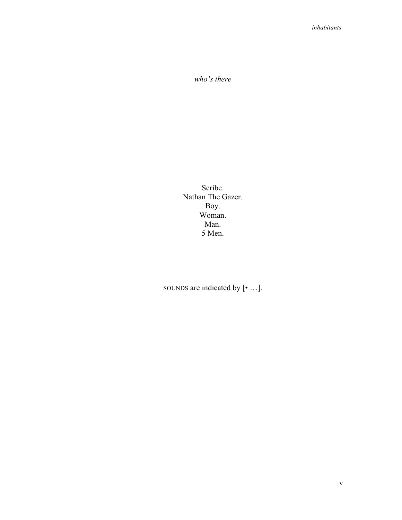*who's there*

Scribe. Nathan The Gazer. Boy. Woman. Man. 5 Men.

SOUNDS are indicated by [• …].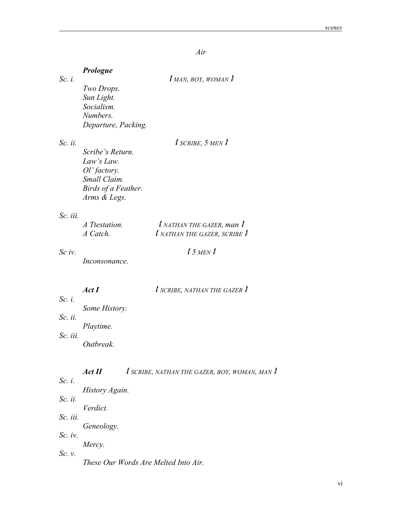*Air*

# *Prologue*

*Sc. i.*  ${MAN, BOY, WOMAN}$ 

*Two Drops. Sun Light. Socialism. Numbers. Departure, Packing.*

*Sc. ii.* ❴ *SCRIBE, 5 MEN* ❵

*Scribe's Return. Law's Law. Ol' factory. Small Claim. Birds of a Feather. Arms & Legs.*

# *Sc. iii.*

| A Ttestation. | $\{NATHAN THE GAZER, man\}$  |
|---------------|------------------------------|
| A Catch.      | { NATHAN THE GAZER, SCRIBE } |

*Sc iv.*  $\{5 \text{ MEN } \}$ 

*Inconsonance.*

#### *Act I*  ${$ *SCRIBE, NATHAN THE GAZER*  $}$

*Some History.*

#### *Sc. ii.*

*Sc. i.* 

*Playtime.*

# *Sc. iii.*

*Outbreak.*

#### Act II  $\{$  *SCRIBE, NATHAN THE GAZER, BOY, WOMAN, MAN*

# *Sc. i.*

*History Again. Sc. ii.*

*Verdict.*

# *Sc. iii.*

*Geneology.*

# *Sc. iv.*

*Mercy.*

# *Sc. v.*

*These Our Words Are Melted Into Air.*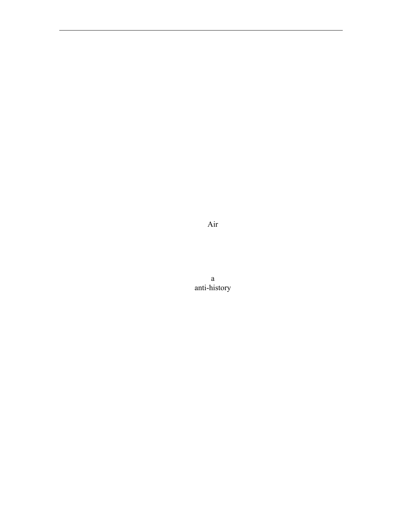Air

a anti-history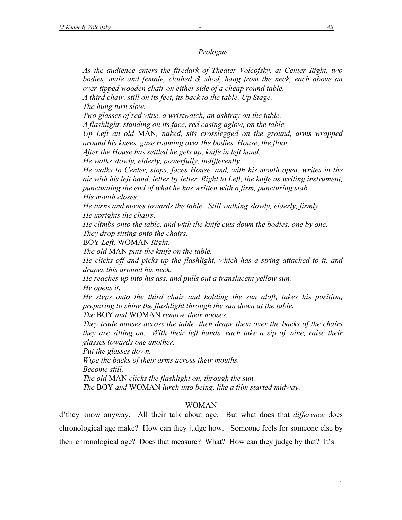# *Prologue*

*As the audience enters the firedark of Theater Volcofsky, at Center Right, two bodies, male and female, clothed & shod, hang from the neck, each above an over-tipped wooden chair on either side of a cheap round table.* 

*A third chair, still on its feet, its back to the table, Up Stage.* 

*The hung turn slow.* 

*Two glasses of red wine, a wristwatch, an ashtray on the table.* 

*A flashlight, standing on its face, red casing aglow, on the table.* 

*Up Left an old* MAN*, naked, sits crosslegged on the ground, arms wrapped around his knees, gaze roaming over the bodies, House, the floor.*

*After the House has settled he gets up, knife in left hand.* 

*He walks slowly, elderly, powerfully, indifferently.* 

*He walks to Center, stops, faces House, and, with his mouth open, writes in the air with his left hand, letter by letter, Right to Left, the knife as writing instrument, punctuating the end of what he has written with a firm, puncturing stab. His mouth closes.* 

*He turns and moves towards the table. Still walking slowly, elderly, firmly. He uprights the chairs.*

*He climbs onto the table, and with the knife cuts down the bodies, one by one. They drop sitting onto the chairs.* 

BOY *Left,* WOMAN *Right.*

*The old* MAN *puts the knife on the table.* 

*He clicks off and picks up the flashlight, which has a string attached to it, and drapes this around his neck.* 

*He reaches up into his ass, and pulls out a translucent yellow sun. He opens it.* 

*He steps onto the third chair and holding the sun aloft, takes his position, preparing to shine the flashlight through the sun down at the table.*

*The* BOY *and* WOMAN *remove their nooses.* 

*They trade nooses across the table, then drape them over the backs of the chairs they are sitting on. With their left hands, each take a sip of wine, raise their glasses towards one another.* 

*Put the glasses down.* 

*Wipe the backs of their arms across their mouths.* 

*Become still.*

*The old* MAN *clicks the flashlight on, through the sun.* 

*The* BOY *and* WOMAN *lurch into being, like a film started midway.*

# WOMAN

d'they know anyway. All their talk about age. But what does that *difference* does chronological age make? How can they judge how. Someone feels for someone else by their chronological age? Does that measure? What? How can they judge by that? It's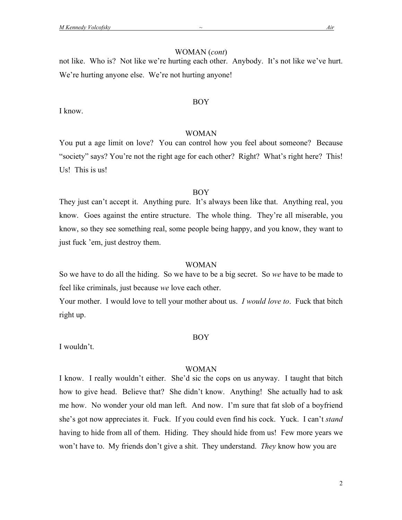I know.

# WOMAN (*cont*)

not like. Who is? Not like we're hurting each other. Anybody. It's not like we've hurt. We're hurting anyone else. We're not hurting anyone!

# BOY

# WOMAN

You put a age limit on love? You can control how you feel about someone? Because "society" says? You're not the right age for each other? Right? What's right here? This! Us! This is us!

# BOY

They just can't accept it. Anything pure. It's always been like that. Anything real, you know. Goes against the entire structure. The whole thing. They're all miserable, you know, so they see something real, some people being happy, and you know, they want to just fuck 'em, just destroy them.

#### WOMAN

So we have to do all the hiding. So we have to be a big secret. So *we* have to be made to feel like criminals, just because *we* love each other.

Your mother. I would love to tell your mother about us. *I would love to*. Fuck that bitch right up.

#### BOY

I wouldn't.

# WOMAN

I know. I really wouldn't either. She'd sic the cops on us anyway. I taught that bitch how to give head. Believe that? She didn't know. Anything! She actually had to ask me how. No wonder your old man left. And now. I'm sure that fat slob of a boyfriend she's got now appreciates it. Fuck. If you could even find his cock. Yuck. I can't *stand* having to hide from all of them. Hiding. They should hide from us! Few more years we won't have to. My friends don't give a shit. They understand. *They* know how you are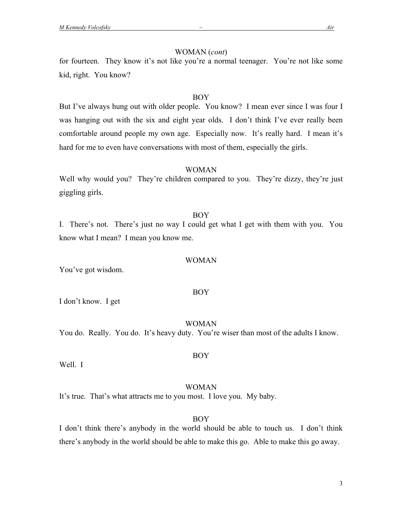#### WOMAN (*cont*)

for fourteen. They know it's not like you're a normal teenager. You're not like some kid, right. You know?

# BOY

But I've always hung out with older people. You know? I mean ever since I was four I was hanging out with the six and eight year olds. I don't think I've ever really been comfortable around people my own age. Especially now. It's really hard. I mean it's hard for me to even have conversations with most of them, especially the girls.

#### WOMAN

Well why would you? They're children compared to you. They're dizzy, they're just giggling girls.

#### BOY

I. There's not. There's just no way I could get what I get with them with you. You know what I mean? I mean you know me.

#### WOMAN

You've got wisdom.

# BOY

I don't know. I get

WOMAN

You do. Really. You do. It's heavy duty. You're wiser than most of the adults I know.

Well. I

# WOMAN

It's true. That's what attracts me to you most. I love you. My baby.

#### BOY

I don't think there's anybody in the world should be able to touch us. I don't think there's anybody in the world should be able to make this go. Able to make this go away.

#### 3

# BOY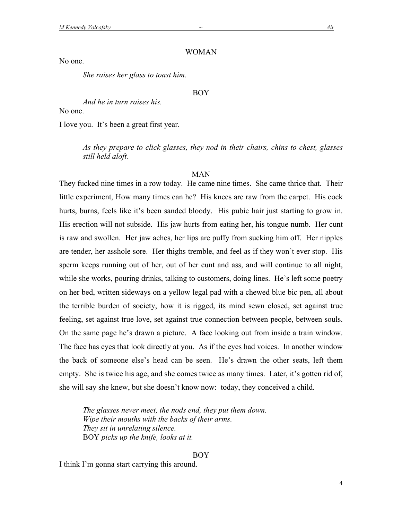#### WOMAN

No one.

*She raises her glass to toast him.* 

#### BOY

*And he in turn raises his.* 

No one.

I love you. It's been a great first year.

*As they prepare to click glasses, they nod in their chairs, chins to chest, glasses still held aloft.*

#### MAN

They fucked nine times in a row today. He came nine times. She came thrice that. Their little experiment, How many times can he? His knees are raw from the carpet. His cock hurts, burns, feels like it's been sanded bloody. His pubic hair just starting to grow in. His erection will not subside. His jaw hurts from eating her, his tongue numb. Her cunt is raw and swollen. Her jaw aches, her lips are puffy from sucking him off. Her nipples are tender, her asshole sore. Her thighs tremble, and feel as if they won't ever stop. His sperm keeps running out of her, out of her cunt and ass, and will continue to all night, while she works, pouring drinks, talking to customers, doing lines. He's left some poetry on her bed, written sideways on a yellow legal pad with a chewed blue bic pen, all about the terrible burden of society, how it is rigged, its mind sewn closed, set against true feeling, set against true love, set against true connection between people, between souls. On the same page he's drawn a picture. A face looking out from inside a train window. The face has eyes that look directly at you. As if the eyes had voices. In another window the back of someone else's head can be seen. He's drawn the other seats, left them empty. She is twice his age, and she comes twice as many times. Later, it's gotten rid of, she will say she knew, but she doesn't know now: today, they conceived a child.

*The glasses never meet, the nods end, they put them down. Wipe their mouths with the backs of their arms. They sit in unrelating silence.* BOY *picks up the knife, looks at it.*

#### BOY

I think I'm gonna start carrying this around.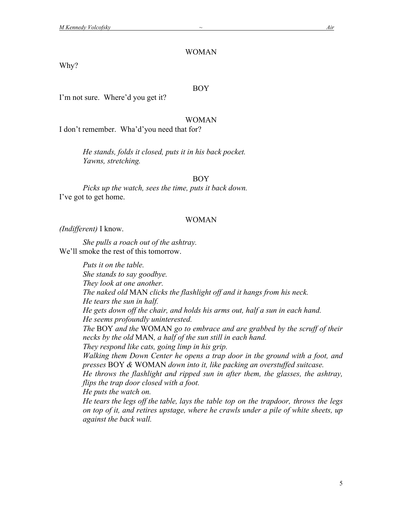#### WOMAN

Why?

#### BOY

I'm not sure. Where'd you get it?

#### WOMAN

I don't remember. Wha'd'you need that for?

*He stands, folds it closed, puts it in his back pocket. Yawns, stretching.*

#### BOY

*Picks up the watch, sees the time, puts it back down.* I've got to get home.

#### WOMAN

*(Indifferent)* I know.

*She pulls a roach out of the ashtray.* We'll smoke the rest of this tomorrow.

*against the back wall.*

*Puts it on the table. She stands to say goodbye. They look at one another. The naked old* MAN *clicks the flashlight off and it hangs from his neck. He tears the sun in half. He gets down off the chair, and holds his arms out, half a sun in each hand. He seems profoundly uninterested. The* BOY *and the* WOMAN *go to embrace and are grabbed by the scruff of their necks by the old* MAN*, a half of the sun still in each hand. They respond like cats, going limp in his grip. Walking them Down Center he opens a trap door in the ground with a foot, and presses* BOY *&* WOMAN *down into it, like packing an overstuffed suitcase. He throws the flashlight and ripped sun in after them, the glasses, the ashtray, flips the trap door closed with a foot. He puts the watch on. He tears the legs off the table, lays the table top on the trapdoor, throws the legs on top of it, and retires upstage, where he crawls under a pile of white sheets, up*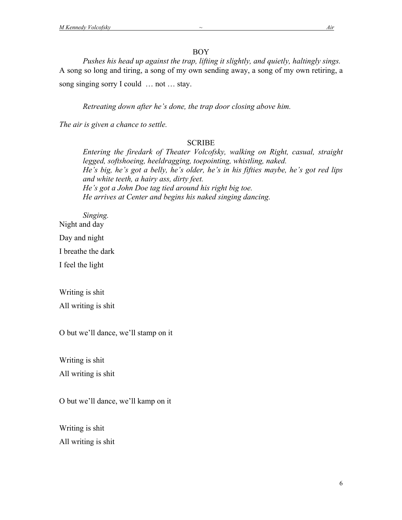# BOY

*Pushes his head up against the trap, lifting it slightly, and quietly, haltingly sings.* A song so long and tiring, a song of my own sending away, a song of my own retiring, a song singing sorry I could ... not ... stay.

*Retreating down after he's done, the trap door closing above him.*

*The air is given a chance to settle.*

# SCRIBE

*Entering the firedark of Theater Volcofsky, walking on Right, casual, straight legged, softshoeing, heeldragging, toepointing, whistling, naked. He's big, he's got a belly, he's older, he's in his fifties maybe, he's got red lips and white teeth, a hairy ass, dirty feet. He's got a John Doe tag tied around his right big toe. He arrives at Center and begins his naked singing dancing.*

*Singing.* Night and day

Day and night

I breathe the dark

I feel the light

Writing is shit

All writing is shit

O but we'll dance, we'll stamp on it

Writing is shit

All writing is shit

O but we'll dance, we'll kamp on it

Writing is shit All writing is shit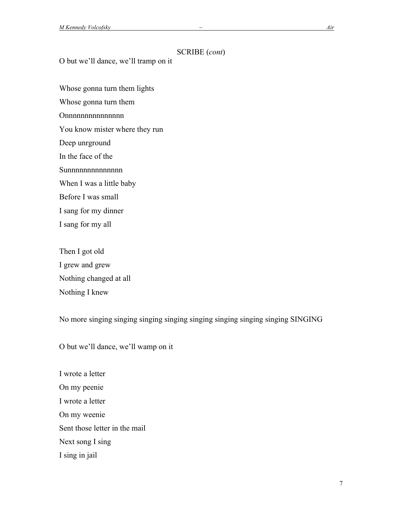O but we'll dance, we'll tramp on it

Whose gonna turn them lights

Whose gonna turn them

Onnnnnnnnnnnnnnn

You know mister where they run

Deep unrground

In the face of the

Sunnnnnnnnnnnnnn

When I was a little baby

Before I was small

I sang for my dinner

I sang for my all

Then I got old I grew and grew Nothing changed at all Nothing I knew

No more singing singing singing singing singing singing singing singing SINGING

O but we'll dance, we'll wamp on it

I wrote a letter On my peenie I wrote a letter On my weenie Sent those letter in the mail Next song I sing I sing in jail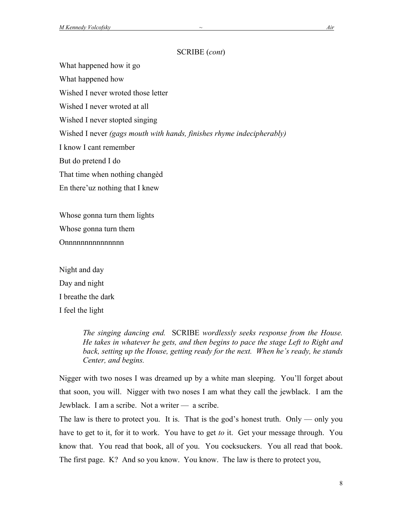What happened how it go

What happened how

Wished I never wroted those letter

Wished I never wroted at all

Wished I never stopted singing

Wished I never *(gags mouth with hands, finishes rhyme indecipherably)* 

I know I cant remember

But do pretend I do

That time when nothing changèd

En there'uz nothing that I knew

Whose gonna turn them lights Whose gonna turn them Onnnnnnnnnnnnnnn

Night and day Day and night I breathe the dark I feel the light

> *The singing dancing end.* SCRIBE *wordlessly seeks response from the House. He takes in whatever he gets, and then begins to pace the stage Left to Right and back, setting up the House, getting ready for the next. When he's ready, he stands Center, and begins.*

Nigger with two noses I was dreamed up by a white man sleeping. You'll forget about that soon, you will. Nigger with two noses I am what they call the jewblack. I am the Jewblack. I am a scribe. Not a writer — a scribe.

The law is there to protect you. It is. That is the god's honest truth. Only — only you have to get to it, for it to work. You have to get *to* it. Get your message through. You know that. You read that book, all of you. You cocksuckers. You all read that book. The first page. K? And so you know. You know. The law is there to protect you,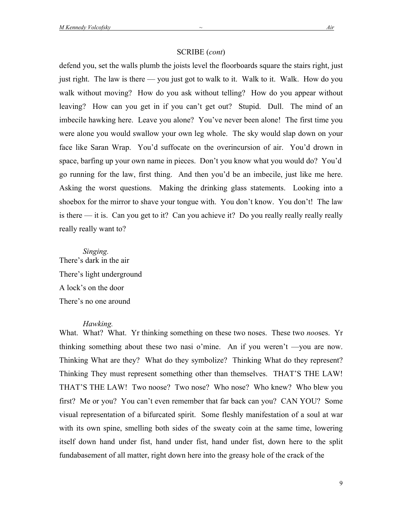defend you, set the walls plumb the joists level the floorboards square the stairs right, just just right. The law is there — you just got to walk to it. Walk to it. Walk. How do you walk without moving? How do you ask without telling? How do you appear without leaving? How can you get in if you can't get out? Stupid. Dull. The mind of an imbecile hawking here. Leave you alone? You've never been alone! The first time you were alone you would swallow your own leg whole. The sky would slap down on your face like Saran Wrap. You'd suffocate on the overincursion of air. You'd drown in space, barfing up your own name in pieces. Don't you know what you would do? You'd go running for the law, first thing. And then you'd be an imbecile, just like me here. Asking the worst questions. Making the drinking glass statements. Looking into a shoebox for the mirror to shave your tongue with. You don't know. You don't! The law is there — it is. Can you get to it? Can you achieve it? Do you really really really really really really want to?

*Singing.* There's dark in the air There's light underground A lock's on the door There's no one around

#### *Hawking.*

What. What? What. Yr thinking something on these two noses. These two *noo*ses. Yr thinking something about these two nasi o'mine. An if you weren't —you are now. Thinking What are they? What do they symbolize? Thinking What do they represent? Thinking They must represent something other than themselves. THAT'S THE LAW! THAT'S THE LAW! Two noose? Two nose? Who nose? Who knew? Who blew you first? Me or you? You can't even remember that far back can you? CAN YOU? Some visual representation of a bifurcated spirit. Some fleshly manifestation of a soul at war with its own spine, smelling both sides of the sweaty coin at the same time, lowering itself down hand under fist, hand under fist, hand under fist, down here to the split fundabasement of all matter, right down here into the greasy hole of the crack of the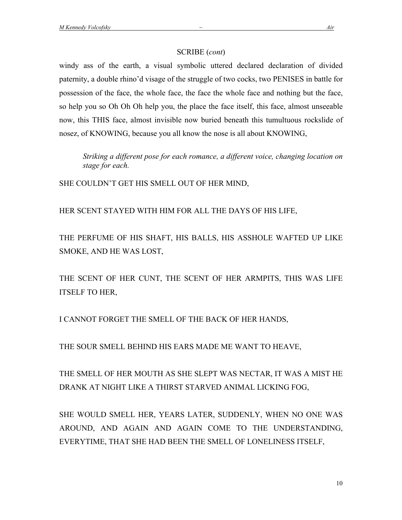windy ass of the earth, a visual symbolic uttered declared declaration of divided paternity, a double rhino'd visage of the struggle of two cocks, two PENISES in battle for possession of the face, the whole face, the face the whole face and nothing but the face, so help you so Oh Oh Oh help you, the place the face itself, this face, almost unseeable now, this THIS face, almost invisible now buried beneath this tumultuous rockslide of nosez, of KNOWING, because you all know the nose is all about KNOWING,

*Striking a different pose for each romance, a different voice, changing location on stage for each.*

SHE COULDN'T GET HIS SMELL OUT OF HER MIND,

HER SCENT STAYED WITH HIM FOR ALL THE DAYS OF HIS LIFE,

THE PERFUME OF HIS SHAFT, HIS BALLS, HIS ASSHOLE WAFTED UP LIKE SMOKE, AND HE WAS LOST,

THE SCENT OF HER CUNT, THE SCENT OF HER ARMPITS, THIS WAS LIFE ITSELF TO HER,

I CANNOT FORGET THE SMELL OF THE BACK OF HER HANDS,

THE SOUR SMELL BEHIND HIS EARS MADE ME WANT TO HEAVE,

THE SMELL OF HER MOUTH AS SHE SLEPT WAS NECTAR, IT WAS A MIST HE DRANK AT NIGHT LIKE A THIRST STARVED ANIMAL LICKING FOG,

SHE WOULD SMELL HER, YEARS LATER, SUDDENLY, WHEN NO ONE WAS AROUND, AND AGAIN AND AGAIN COME TO THE UNDERSTANDING, EVERYTIME, THAT SHE HAD BEEN THE SMELL OF LONELINESS ITSELF,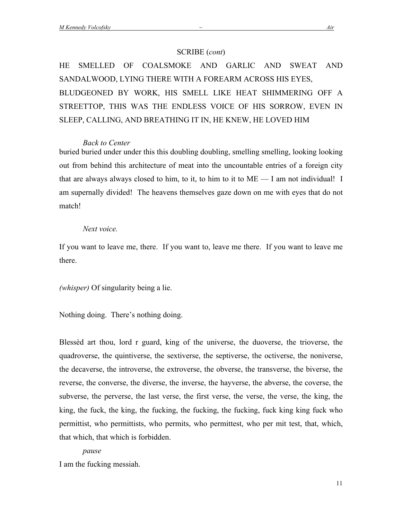HE SMELLED OF COALSMOKE AND GARLIC AND SWEAT AND SANDALWOOD, LYING THERE WITH A FOREARM ACROSS HIS EYES, BLUDGEONED BY WORK, HIS SMELL LIKE HEAT SHIMMERING OFF A STREETTOP, THIS WAS THE ENDLESS VOICE OF HIS SORROW, EVEN IN SLEEP, CALLING, AND BREATHING IT IN, HE KNEW, HE LOVED HIM

#### *Back to Center*

buried buried under under this this doubling doubling, smelling smelling, looking looking out from behind this architecture of meat into the uncountable entries of a foreign city that are always always closed to him, to it, to him to it to  $ME - I$  am not individual! I am supernally divided! The heavens themselves gaze down on me with eyes that do not match!

#### *Next voice.*

If you want to leave me, there. If you want to, leave me there. If you want to leave me there.

*(whisper)* Of singularity being a lie.

Nothing doing. There's nothing doing.

Blessèd art thou, lord r guard, king of the universe, the duoverse, the trioverse, the quadroverse, the quintiverse, the sextiverse, the septiverse, the octiverse, the noniverse, the decaverse, the introverse, the extroverse, the obverse, the transverse, the biverse, the reverse, the converse, the diverse, the inverse, the hayverse, the abverse, the coverse, the subverse, the perverse, the last verse, the first verse, the verse, the verse, the king, the king, the fuck, the king, the fucking, the fucking, the fucking, fuck king king fuck who permittist, who permittists, who permits, who permittest, who per mit test, that, which, that which, that which is forbidden.

*pause* I am the fucking messiah.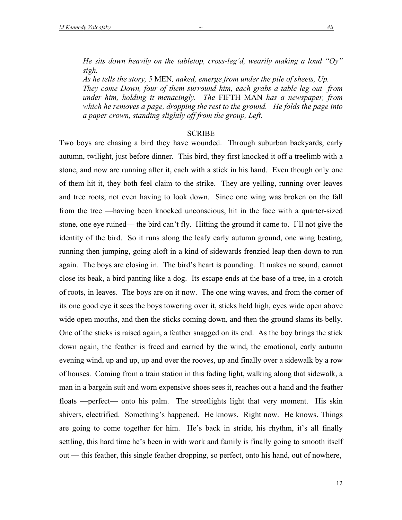*He sits down heavily on the tabletop, cross-leg'd, wearily making a loud "Oy" sigh.*

*As he tells the story, 5* MEN*, naked, emerge from under the pile of sheets, Up. They come Down, four of them surround him, each grabs a table leg out from under him, holding it menacingly. The* FIFTH MAN *has a newspaper, from which he removes a page, dropping the rest to the ground. He folds the page into a paper crown, standing slightly off from the group, Left.*

#### **SCRIBE**

Two boys are chasing a bird they have wounded. Through suburban backyards, early autumn, twilight, just before dinner. This bird, they first knocked it off a treelimb with a stone, and now are running after it, each with a stick in his hand. Even though only one of them hit it, they both feel claim to the strike. They are yelling, running over leaves and tree roots, not even having to look down. Since one wing was broken on the fall from the tree —having been knocked unconscious, hit in the face with a quarter-sized stone, one eye ruined— the bird can't fly. Hitting the ground it came to. I'll not give the identity of the bird. So it runs along the leafy early autumn ground, one wing beating, running then jumping, going aloft in a kind of sidewards frenzied leap then down to run again. The boys are closing in. The bird's heart is pounding. It makes no sound, cannot close its beak, a bird panting like a dog. Its escape ends at the base of a tree, in a crotch of roots, in leaves. The boys are on it now. The one wing waves, and from the corner of its one good eye it sees the boys towering over it, sticks held high, eyes wide open above wide open mouths, and then the sticks coming down, and then the ground slams its belly. One of the sticks is raised again, a feather snagged on its end. As the boy brings the stick down again, the feather is freed and carried by the wind, the emotional, early autumn evening wind, up and up, up and over the rooves, up and finally over a sidewalk by a row of houses. Coming from a train station in this fading light, walking along that sidewalk, a man in a bargain suit and worn expensive shoes sees it, reaches out a hand and the feather floats —perfect— onto his palm. The streetlights light that very moment. His skin shivers, electrified. Something's happened. He knows. Right now. He knows. Things are going to come together for him. He's back in stride, his rhythm, it's all finally settling, this hard time he's been in with work and family is finally going to smooth itself out — this feather, this single feather dropping, so perfect, onto his hand, out of nowhere,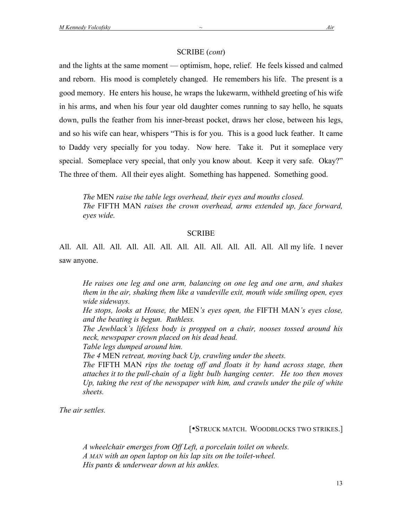and the lights at the same moment — optimism, hope, relief. He feels kissed and calmed and reborn. His mood is completely changed. He remembers his life. The present is a good memory. He enters his house, he wraps the lukewarm, withheld greeting of his wife in his arms, and when his four year old daughter comes running to say hello, he squats down, pulls the feather from his inner-breast pocket, draws her close, between his legs, and so his wife can hear, whispers "This is for you. This is a good luck feather. It came to Daddy very specially for you today. Now here. Take it. Put it someplace very special. Someplace very special, that only you know about. Keep it very safe. Okay?" The three of them. All their eyes alight. Something has happened. Something good.

*The* MEN *raise the table legs overhead, their eyes and mouths closed. The* FIFTH MAN *raises the crown overhead, arms extended up, face forward, eyes wide.*

#### SCRIBE

All. All. All. All. All. All. All. All. All. All. All. All. All. All my life. I never saw anyone.

*He raises one leg and one arm, balancing on one leg and one arm, and shakes them in the air, shaking them like a vaudeville exit, mouth wide smiling open, eyes wide sideways.*

*He stops, looks at House, the* MEN*'s eyes open, the* FIFTH MAN*'s eyes close, and the beating is begun. Ruthless.* 

*The Jewblack's lifeless body is propped on a chair, nooses tossed around his neck, newspaper crown placed on his dead head.*

*Table legs dumped around him.*

*The 4* MEN *retreat, moving back Up, crawling under the sheets.*

*The* FIFTH MAN *rips the toetag off and floats it by hand across stage, then attaches it to the pull-chain of a light bulb hanging center. He too then moves Up, taking the rest of the newspaper with him, and crawls under the pile of white sheets.*

*The air settles.*

# [•STRUCK MATCH. WOODBLOCKS TWO STRIKES.]

*A wheelchair emerges from Off Left, a porcelain toilet on wheels. A MAN with an open laptop on his lap sits on the toilet-wheel. His pants & underwear down at his ankles.*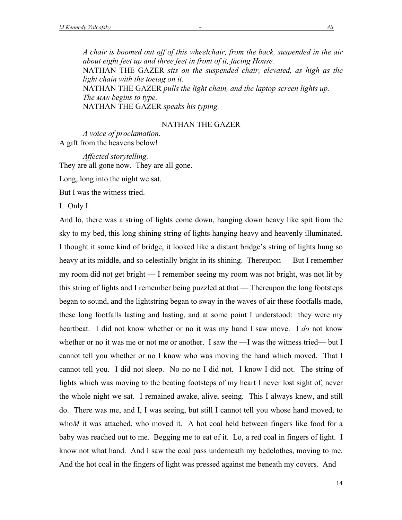*A chair is boomed out off of this wheelchair, from the back, suspended in the air about eight feet up and three feet in front of it, facing House.*  NATHAN THE GAZER *sits on the suspended chair, elevated, as high as the light chain with the toetag on it.*  NATHAN THE GAZER *pulls the light chain, and the laptop screen lights up. The MAN begins to type.*  NATHAN THE GAZER *speaks his typing.*

#### NATHAN THE GAZER

*A voice of proclamation.* A gift from the heavens below!

*Affected storytelling.* They are all gone now. They are all gone.

Long, long into the night we sat.

But I was the witness tried.

I. Only I.

And lo, there was a string of lights come down, hanging down heavy like spit from the sky to my bed, this long shining string of lights hanging heavy and heavenly illuminated. I thought it some kind of bridge, it looked like a distant bridge's string of lights hung so heavy at its middle, and so celestially bright in its shining. Thereupon — But I remember my room did not get bright — I remember seeing my room was not bright, was not lit by this string of lights and I remember being puzzled at that — Thereupon the long footsteps began to sound, and the lightstring began to sway in the waves of air these footfalls made, these long footfalls lasting and lasting, and at some point I understood: they were my heartbeat. I did not know whether or no it was my hand I saw move. I *do* not know whether or no it was me or not me or another. I saw the —I was the witness tried— but I cannot tell you whether or no I know who was moving the hand which moved. That I cannot tell you. I did not sleep. No no no I did not. I know I did not. The string of lights which was moving to the beating footsteps of my heart I never lost sight of, never the whole night we sat. I remained awake, alive, seeing. This I always knew, and still do. There was me, and I, I was seeing, but still I cannot tell you whose hand moved, to who*M* it was attached, who moved it. A hot coal held between fingers like food for a baby was reached out to me. Begging me to eat of it. Lo, a red coal in fingers of light. I know not what hand. And I saw the coal pass underneath my bedclothes, moving to me. And the hot coal in the fingers of light was pressed against me beneath my covers. And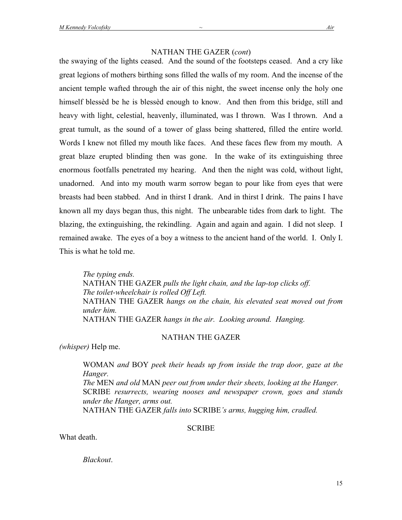the swaying of the lights ceased. And the sound of the footsteps ceased. And a cry like great legions of mothers birthing sons filled the walls of my room. And the incense of the ancient temple wafted through the air of this night, the sweet incense only the holy one himself blessèd be he is blessèd enough to know. And then from this bridge, still and heavy with light, celestial, heavenly, illuminated, was I thrown. Was I thrown. And a great tumult, as the sound of a tower of glass being shattered, filled the entire world. Words I knew not filled my mouth like faces. And these faces flew from my mouth. A great blaze erupted blinding then was gone. In the wake of its extinguishing three enormous footfalls penetrated my hearing. And then the night was cold, without light, unadorned. And into my mouth warm sorrow began to pour like from eyes that were breasts had been stabbed. And in thirst I drank. And in thirst I drink. The pains I have known all my days began thus, this night. The unbearable tides from dark to light. The blazing, the extinguishing, the rekindling. Again and again and again. I did not sleep. I remained awake. The eyes of a boy a witness to the ancient hand of the world. I. Only I. This is what he told me.

*The typing ends.* NATHAN THE GAZER *pulls the light chain, and the lap-top clicks off. The toilet-wheelchair is rolled Off Left.* NATHAN THE GAZER *hangs on the chain, his elevated seat moved out from under him.* NATHAN THE GAZER *hangs in the air. Looking around. Hanging.*

# NATHAN THE GAZER

*(whisper)* Help me.

WOMAN *and* BOY *peek their heads up from inside the trap door, gaze at the Hanger. The* MEN *and old* MAN *peer out from under their sheets, looking at the Hanger.* SCRIBE *resurrects, wearing nooses and newspaper crown, goes and stands under the Hanger, arms out.*  NATHAN THE GAZER *falls into* SCRIBE*'s arms, hugging him, cradled.*

SCRIBE

What death.

*Blackout*.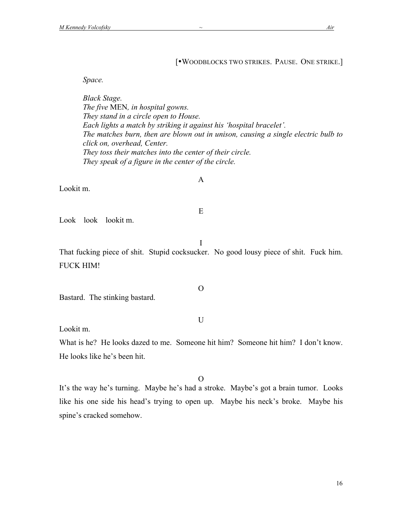*Space.*

*Black Stage. The five* MEN*, in hospital gowns. They stand in a circle open to House. Each lights a match by striking it against his 'hospital bracelet'. The matches burn, then are blown out in unison, causing a single electric bulb to click on, overhead, Center. They toss their matches into the center of their circle. They speak of a figure in the center of the circle.*

Lookit m.

A

E

Look look lookit m.

I That fucking piece of shit. Stupid cocksucker. No good lousy piece of shit. Fuck him. FUCK HIM!

O

Bastard. The stinking bastard.

U

Lookit m.

What is he? He looks dazed to me. Someone hit him? Someone hit him? I don't know. He looks like he's been hit.

O

It's the way he's turning. Maybe he's had a stroke. Maybe's got a brain tumor. Looks like his one side his head's trying to open up. Maybe his neck's broke. Maybe his spine's cracked somehow.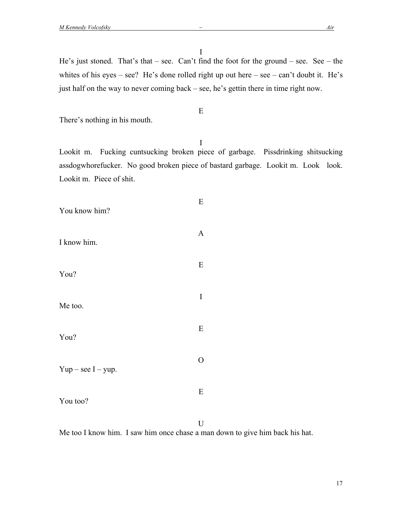I He's just stoned. That's that – see. Can't find the foot for the ground – see. See – the whites of his eyes – see? He's done rolled right up out here – see – can't doubt it. He's just half on the way to never coming back – see, he's gettin there in time right now.

There's nothing in his mouth.

I

E

Lookit m. Fucking cuntsucking broken piece of garbage. Pissdrinking shitsucking assdogwhorefucker. No good broken piece of bastard garbage. Lookit m. Look look. Lookit m. Piece of shit.

E

A

E

I

E

O

E

You know him?

I know him.

You?

Me too.

You?

 $Yup - see I - yup.$ 

You too?

Me too I know him. I saw him once chase a man down to give him back his hat.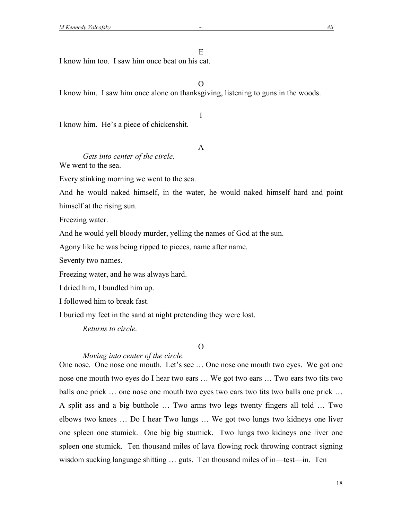E

I know him too. I saw him once beat on his cat.

# $\Omega$

I

I know him. I saw him once alone on thanksgiving, listening to guns in the woods.

I know him. He's a piece of chickenshit.

#### A

*Gets into center of the circle.* We went to the sea.

Every stinking morning we went to the sea.

And he would naked himself, in the water, he would naked himself hard and point himself at the rising sun.

Freezing water.

And he would yell bloody murder, yelling the names of God at the sun.

Agony like he was being ripped to pieces, name after name.

Seventy two names.

Freezing water, and he was always hard.

I dried him, I bundled him up.

I followed him to break fast.

I buried my feet in the sand at night pretending they were lost.

*Returns to circle.*

# O

*Moving into center of the circle.*

One nose. One nose one mouth. Let's see … One nose one mouth two eyes. We got one nose one mouth two eyes do I hear two ears … We got two ears … Two ears two tits two balls one prick … one nose one mouth two eyes two ears two tits two balls one prick … A split ass and a big butthole … Two arms two legs twenty fingers all told … Two elbows two knees … Do I hear Two lungs … We got two lungs two kidneys one liver one spleen one stumick. One big big stumick. Two lungs two kidneys one liver one spleen one stumick. Ten thousand miles of lava flowing rock throwing contract signing wisdom sucking language shitting … guts. Ten thousand miles of in—test—in. Ten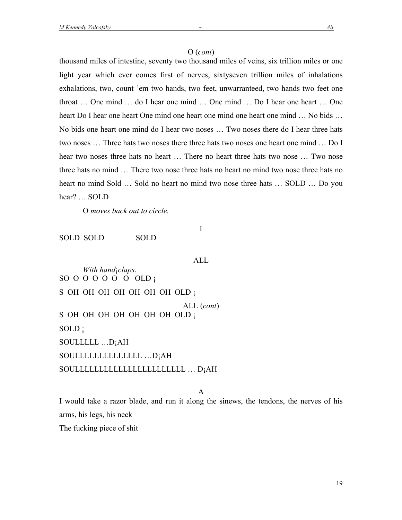#### O (*cont*)

thousand miles of intestine, seventy two thousand miles of veins, six trillion miles or one light year which ever comes first of nerves, sixtyseven trillion miles of inhalations exhalations, two, count 'em two hands, two feet, unwarranteed, two hands two feet one throat … One mind … do I hear one mind … One mind … Do I hear one heart … One heart Do I hear one heart One mind one heart one mind one heart one mind ... No bids ... No bids one heart one mind do I hear two noses … Two noses there do I hear three hats two noses … Three hats two noses there three hats two noses one heart one mind … Do I hear two noses three hats no heart … There no heart three hats two nose … Two nose three hats no mind … There two nose three hats no heart no mind two nose three hats no heart no mind Sold … Sold no heart no mind two nose three hats … SOLD … Do you hear? … SOLD

O *moves back out to circle.*

SOLD SOLD SOLD

ALL

I

*With hand*¡*claps.* SO O O O O O O OLD ¡ S OH OH OH OH OH OH OH OLD ¡ ALL (*cont*) S OH OH OH OH OH OH OH OLD ¡ SOLD ¡ SOULLLLL …D¡AH SOULLLLLLLLLLLLLL …D¡AH SOULLLLLLLLLLLLLLLLLLLLLLL … D¡AH

A

I would take a razor blade, and run it along the sinews, the tendons, the nerves of his arms, his legs, his neck

The fucking piece of shit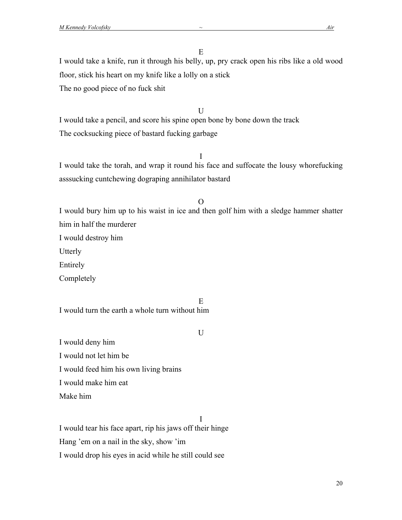E

I would take a knife, run it through his belly, up, pry crack open his ribs like a old wood floor, stick his heart on my knife like a lolly on a stick

The no good piece of no fuck shit

 $U$ I would take a pencil, and score his spine open bone by bone down the track The cocksucking piece of bastard fucking garbage

I

I would take the torah, and wrap it round his face and suffocate the lousy whorefucking asssucking cuntchewing dograping annihilator bastard

O

I would bury him up to his waist in ice and then golf him with a sledge hammer shatter him in half the murderer

I would destroy him

Utterly

Entirely

Completely

E

I would turn the earth a whole turn without him

U

I would deny him

I would not let him be

I would feed him his own living brains

I would make him eat

Make him

I

I would tear his face apart, rip his jaws off their hinge Hang 'em on a nail in the sky, show 'im I would drop his eyes in acid while he still could see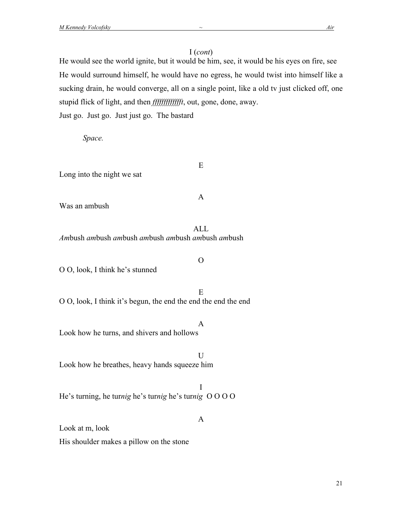#### I (*cont*)

He would see the world ignite, but it would be him, see, it would be his eyes on fire, see He would surround himself, he would have no egress, he would twist into himself like a sucking drain, he would converge, all on a single point, like a old tv just clicked off, one stupid flick of light, and then *ffffffffffffft*, out, gone, done, away. Just go. Just go. Just just go. The bastard

E

A

*Space.*

Long into the night we sat

Was an ambush

ALL *Am*bush *am*bush *am*bush *am*bush *am*bush *am*bush *am*bush

O O, look, I think he's stunned

E O O, look, I think it's begun, the end the end the end the end

A Look how he turns, and shivers and hollows

 $U$ Look how he breathes, heavy hands squeeze him

I He's turning, he tur*nig* he's tur*nig* he's tur*nig* O O O O

Look at m, look

His shoulder makes a pillow on the stone

# O

A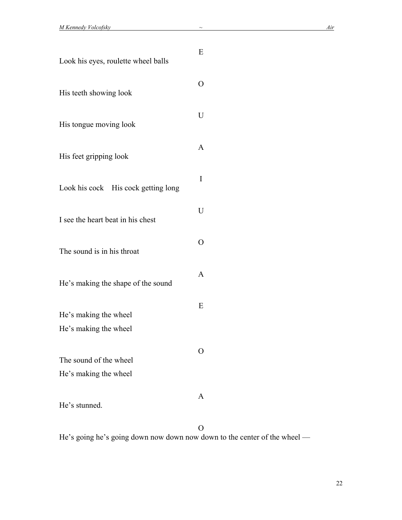| Look his eyes, roulette wheel balls             | E              |  |
|-------------------------------------------------|----------------|--|
| His teeth showing look                          | $\overline{O}$ |  |
| His tongue moving look                          | U              |  |
| His feet gripping look                          | A              |  |
| Look his cock His cock getting long             | I              |  |
| I see the heart beat in his chest               | U              |  |
| The sound is in his throat                      | $\overline{O}$ |  |
| He's making the shape of the sound              | $\mathbf{A}$   |  |
| He's making the wheel                           | E              |  |
| He's making the wheel                           |                |  |
| The sound of the wheel<br>He's making the wheel | O              |  |
| He's stunned.                                   | A              |  |

O

He's going he's going down now down now down to the center of the wheel —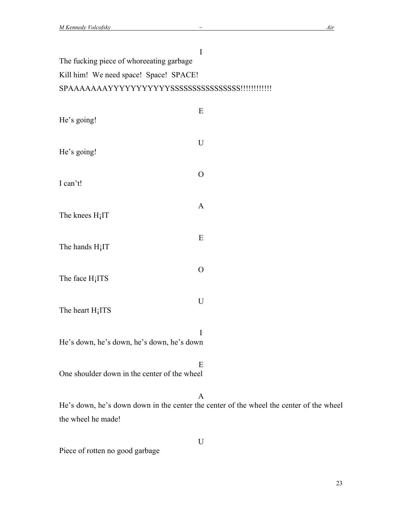| The fucking piece of whoreeating garbage     | I                                                                                                       |  |  |  |
|----------------------------------------------|---------------------------------------------------------------------------------------------------------|--|--|--|
| Kill him! We need space! Space! SPACE!       |                                                                                                         |  |  |  |
|                                              |                                                                                                         |  |  |  |
|                                              |                                                                                                         |  |  |  |
| He's going!                                  | E                                                                                                       |  |  |  |
|                                              | U                                                                                                       |  |  |  |
| He's going!                                  |                                                                                                         |  |  |  |
|                                              |                                                                                                         |  |  |  |
| I can't!                                     | $\Omega$                                                                                                |  |  |  |
|                                              |                                                                                                         |  |  |  |
| The knees $HiIT$                             | $\mathbf{A}$                                                                                            |  |  |  |
|                                              |                                                                                                         |  |  |  |
|                                              | E                                                                                                       |  |  |  |
| The hands $HiIT$                             |                                                                                                         |  |  |  |
|                                              | $\Omega$                                                                                                |  |  |  |
| The face H <sub>i</sub> ITS                  |                                                                                                         |  |  |  |
|                                              | U                                                                                                       |  |  |  |
| The heart H <sub>i</sub> ITS                 |                                                                                                         |  |  |  |
|                                              | I                                                                                                       |  |  |  |
| He's down, he's down, he's down, he's down   |                                                                                                         |  |  |  |
|                                              |                                                                                                         |  |  |  |
| One shoulder down in the center of the wheel | E                                                                                                       |  |  |  |
|                                              |                                                                                                         |  |  |  |
|                                              | $\mathbf{A}$<br>He's down, he's down down in the center the center of the wheel the center of the wheel |  |  |  |
| the wheel he made!                           |                                                                                                         |  |  |  |
|                                              |                                                                                                         |  |  |  |
|                                              | U                                                                                                       |  |  |  |

Piece of rotten no good garbage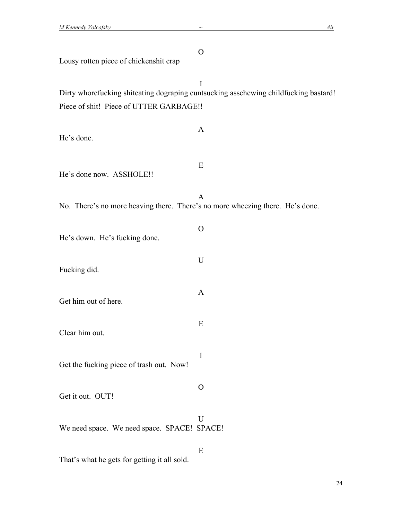| Lousy rotten piece of chickenshit crap                                        | $\Omega$                                                                                  |
|-------------------------------------------------------------------------------|-------------------------------------------------------------------------------------------|
| Piece of shit! Piece of UTTER GARBAGE!!                                       | I<br>Dirty whorefucking shiteating dograping cuntsucking asschewing childfucking bastard! |
| He's done.                                                                    | $\mathbf{A}$                                                                              |
| He's done now. ASSHOLE!!                                                      | E                                                                                         |
| No. There's no more heaving there. There's no more wheezing there. He's done. | $\mathsf{A}$                                                                              |
| He's down. He's fucking done.                                                 | $\Omega$                                                                                  |
| Fucking did.                                                                  | $\mathbf U$                                                                               |
| Get him out of here.                                                          | $\mathbf{A}$                                                                              |
| Clear him out.                                                                | E                                                                                         |
| Get the fucking piece of trash out. Now!                                      | I                                                                                         |
| Get it out. OUT!                                                              | $\mathcal{O}$                                                                             |
| We need space. We need space. SPACE! SPACE!                                   | U                                                                                         |
|                                                                               | E                                                                                         |

That's what he gets for getting it all sold.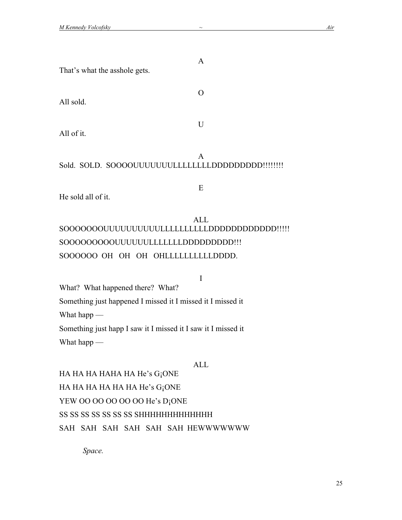E

| That's what the asshole gets. | A                |
|-------------------------------|------------------|
| All sold.                     | $\left( \right)$ |
| All of it.                    | H                |

#### A Sold. SOLD. SOOOOUUUUUUULLLLLLLLDDDDDDDDD!!!!!!!!

He sold all of it.

# ALL SOOOOOOOUUUUUUUUUULLLLLLLLLLDDDDDDDDDDDD!!!!! SOOOOOOOOOUUUUUULLLLLLLDDDDDDDDD!!! SOOOOOO OH OH OH OHLLLLLLLLLLDDDD.

I What? What happened there? What? Something just happened I missed it I missed it I missed it What happ — Something just happ I saw it I missed it I saw it I missed it What happ —

ALL HA HA HA HAHA HA He's G¡ONE HA HA HA HA HA HA He's G¡ONE YEW OO OO OO OO OO He's D¡ONE SS SS SS SS SS SS SS SHHHHHHHHHHHHH SAH SAH SAH SAH SAH SAH HEWWWWWWW

*Space.*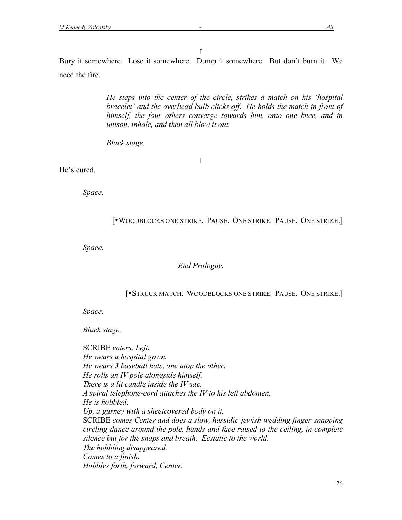I

Bury it somewhere. Lose it somewhere. Dump it somewhere. But don't burn it. We need the fire.

I

*He steps into the center of the circle, strikes a match on his 'hospital bracelet' and the overhead bulb clicks off. He holds the match in front of himself, the four others converge towards him, onto one knee, and in unison, inhale, and then all blow it out.*

*Black stage.*

He's cured.

*Space.*

[•WOODBLOCKS ONE STRIKE. PAUSE. ONE STRIKE. PAUSE. ONE STRIKE.]

*Space.*

*End Prologue.*

# [•STRUCK MATCH. WOODBLOCKS ONE STRIKE. PAUSE. ONE STRIKE.]

*Space.*

*Black stage.*

SCRIBE *enters, Left. He wears a hospital gown. He wears 3 baseball hats, one atop the other. He rolls an IV pole alongside himself. There is a lit candle inside the IV sac. A spiral telephone-cord attaches the IV to his left abdomen. He is hobbled. Up, a gurney with a sheetcovered body on it.*  SCRIBE *comes Center and does a slow, hassidic-jewish-wedding finger-snapping circling-dance around the pole, hands and face raised to the ceiling, in complete silence but for the snaps and breath. Ecstatic to the world. The hobbling disappeared. Comes to a finish. Hobbles forth, forward, Center.*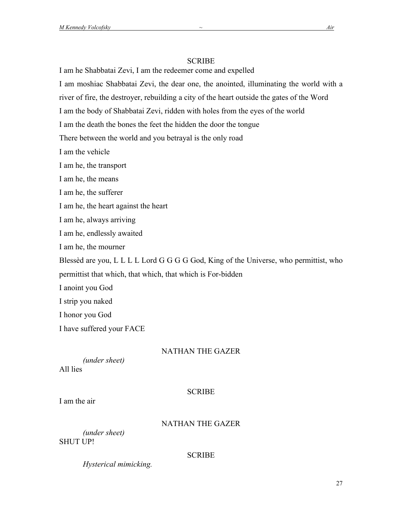# **SCRIBE**

I am he Shabbatai Zevi, I am the redeemer come and expelled

I am moshiac Shabbatai Zevi, the dear one, the anointed, illuminating the world with a

river of fire, the destroyer, rebuilding a city of the heart outside the gates of the Word

I am the body of Shabbatai Zevi, ridden with holes from the eyes of the world

I am the death the bones the feet the hidden the door the tongue

There between the world and you betrayal is the only road

I am the vehicle

I am he, the transport

I am he, the means

I am he, the sufferer

I am he, the heart against the heart

I am he, always arriving

I am he, endlessly awaited

I am he, the mourner

Blessèd are you, L L L L L Lord G G G G God, King of the Universe, who permittist, who

permittist that which, that which, that which is For-bidden

I anoint you God

I strip you naked

I honor you God

I have suffered your FACE

# NATHAN THE GAZER

*(under sheet)* All lies

# SCRIBE

I am the air

# NATHAN THE GAZER

*(under sheet)* SHUT UP!

# **SCRIBE**

*Hysterical mimicking.*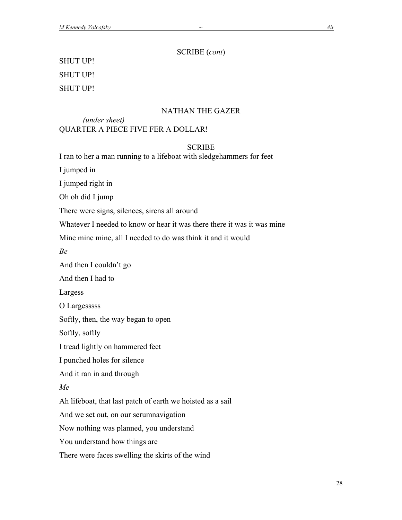# SHUT UP!

SHUT UP!

SHUT UP!

# NATHAN THE GAZER

*(under sheet)* QUARTER A PIECE FIVE FER A DOLLAR!

# **SCRIBE**

I ran to her a man running to a lifeboat with sledgehammers for feet

I jumped in

I jumped right in

Oh oh did I jump

There were signs, silences, sirens all around

Whatever I needed to know or hear it was there there it was it was mine

Mine mine mine, all I needed to do was think it and it would

*Be*

And then I couldn't go

And then I had to

Largess

O Largesssss

Softly, then, the way began to open

Softly, softly

I tread lightly on hammered feet

I punched holes for silence

And it ran in and through

*Me*

Ah lifeboat, that last patch of earth we hoisted as a sail

And we set out, on our serumnavigation

Now nothing was planned, you understand

You understand how things are

There were faces swelling the skirts of the wind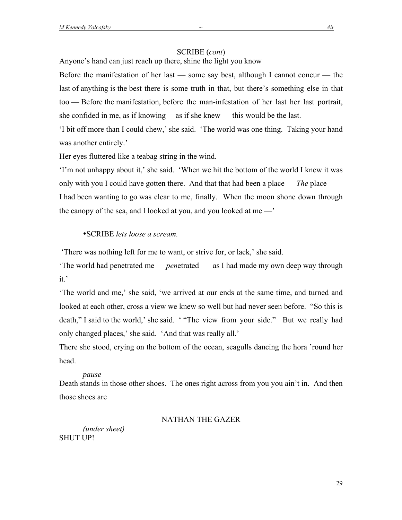Anyone's hand can just reach up there, shine the light you know

Before the manifestation of her last — some say best, although I cannot concur — the last of anything is the best there is some truth in that, but there's something else in that too — Before the manifestation, before the man-infestation of her last her last portrait, she confided in me, as if knowing —as if she knew — this would be the last.

'I bit off more than I could chew,' she said. 'The world was one thing. Taking your hand was another entirely.'

Her eyes fluttered like a teabag string in the wind.

'I'm not unhappy about it,' she said. 'When we hit the bottom of the world I knew it was only with you I could have gotten there. And that that had been a place — *The* place — I had been wanting to go was clear to me, finally. When the moon shone down through the canopy of the sea, and I looked at you, and you looked at me —'

# •SCRIBE *lets loose a scream.*

'There was nothing left for me to want, or strive for, or lack,' she said.

'The world had penetrated me — *pen*etrated — as I had made my own deep way through it.'

'The world and me,' she said, 'we arrived at our ends at the same time, and turned and looked at each other, cross a view we knew so well but had never seen before. "So this is death," I said to the world,' she said. ' "The view from your side." But we really had only changed places,' she said. 'And that was really all.'

There she stood, crying on the bottom of the ocean, seagulls dancing the hora 'round her head.

# *pause*

Death stands in those other shoes. The ones right across from you you ain't in. And then those shoes are

# NATHAN THE GAZER

*(under sheet)* SHUT UP!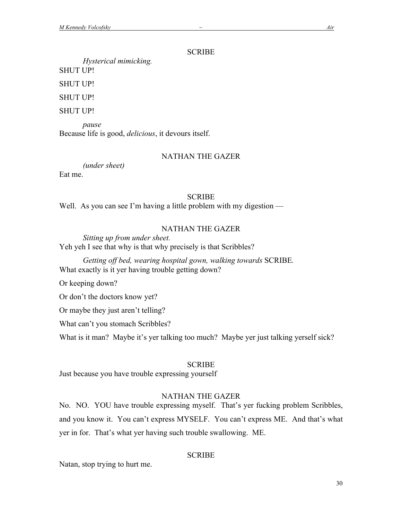# **SCRIBE**

*Hysterical mimicking.*

SHUT UP!

SHUT UP!

SHUT UP!

SHUT UP!

*pause* Because life is good, *delicious*, it devours itself.

# NATHAN THE GAZER

*(under sheet)* Eat me.

# **SCRIBE**

Well. As you can see I'm having a little problem with my digestion —

# NATHAN THE GAZER

*Sitting up from under sheet.*

Yeh yeh I see that why is that why precisely is that Scribbles?

*Getting off bed, wearing hospital gown, walking towards* SCRIBE*.* What exactly is it yer having trouble getting down?

Or keeping down?

Or don't the doctors know yet?

Or maybe they just aren't telling?

What can't you stomach Scribbles?

What is it man? Maybe it's yer talking too much? Maybe yer just talking yerself sick?

# **SCRIBE**

Just because you have trouble expressing yourself

# NATHAN THE GAZER

No. NO. YOU have trouble expressing myself. That's yer fucking problem Scribbles, and you know it. You can't express MYSELF. You can't express ME. And that's what yer in for. That's what yer having such trouble swallowing. ME.

# **SCRIBE**

Natan, stop trying to hurt me.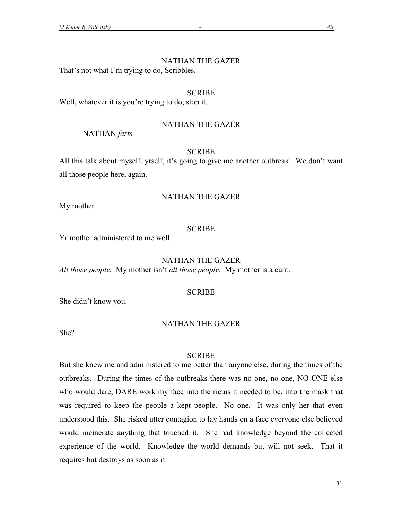That's not what I'm trying to do, Scribbles.

#### SCRIBE

Well, whatever it is you're trying to do, stop it.

# NATHAN THE GAZER

NATHAN *farts.*

#### **SCRIBE**

All this talk about myself, yrself, it's going to give me another outbreak. We don't want all those people here, again.

#### NATHAN THE GAZER

My mother

# **SCRIBE**

Yr mother administered to me well.

# NATHAN THE GAZER

*All those people.* My mother isn't *all those people*. My mother is a cunt.

# SCRIBE

She didn't know you.

# NATHAN THE GAZER

She?

#### **SCRIBE**

But she knew me and administered to me better than anyone else, during the times of the outbreaks. During the times of the outbreaks there was no one, no one, NO ONE else who would dare, DARE work my face into the rictus it needed to be, into the mask that was required to keep the people a kept people. No one. It was only her that even understood this. She risked utter contagion to lay hands on a face everyone else believed would incinerate anything that touched it. She had knowledge beyond the collected experience of the world. Knowledge the world demands but will not seek. That it requires but destroys as soon as it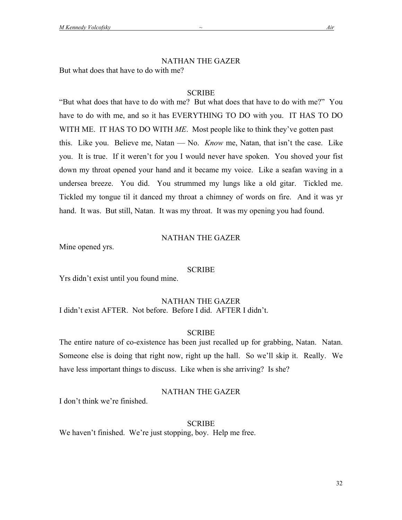But what does that have to do with me?

#### **SCRIBE**

"But what does that have to do with me? But what does that have to do with me?" You have to do with me, and so it has EVERYTHING TO DO with you. IT HAS TO DO WITH ME. IT HAS TO DO WITH *ME*. Most people like to think they've gotten past this. Like you. Believe me, Natan — No. *Know* me, Natan, that isn't the case. Like you. It is true. If it weren't for you I would never have spoken. You shoved your fist down my throat opened your hand and it became my voice. Like a seafan waving in a undersea breeze. You did. You strummed my lungs like a old gitar. Tickled me. Tickled my tongue til it danced my throat a chimney of words on fire. And it was yr hand. It was. But still, Natan. It was my throat. It was my opening you had found.

# NATHAN THE GAZER

Mine opened yrs.

#### SCRIBE

Yrs didn't exist until you found mine.

# NATHAN THE GAZER

I didn't exist AFTER. Not before. Before I did. AFTER I didn't.

# **SCRIBE**

The entire nature of co-existence has been just recalled up for grabbing, Natan. Natan. Someone else is doing that right now, right up the hall. So we'll skip it. Really. We have less important things to discuss. Like when is she arriving? Is she?

# NATHAN THE GAZER

I don't think we're finished.

**SCRIBE** We haven't finished. We're just stopping, boy. Help me free.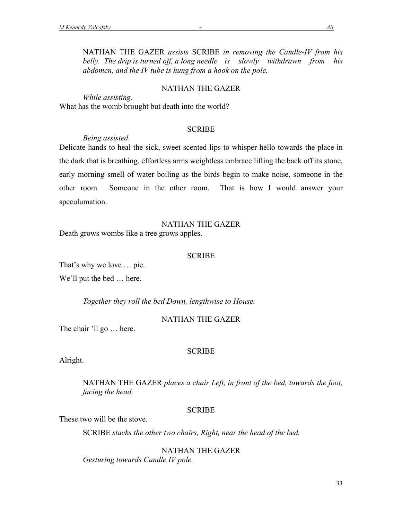NATHAN THE GAZER *assists* SCRIBE *in removing the Candle-IV from his belly. The drip is turned off, a long needle is slowly withdrawn from his abdomen, and the IV tube is hung from a hook on the pole.*

# NATHAN THE GAZER

*While assisting.* What has the womb brought but death into the world?

#### SCRIBE

*Being assisted.*

Delicate hands to heal the sick, sweet scented lips to whisper hello towards the place in the dark that is breathing, effortless arms weightless embrace lifting the back off its stone, early morning smell of water boiling as the birds begin to make noise, someone in the other room. Someone in the other room. That is how I would answer your speculumation.

# NATHAN THE GAZER

Death grows wombs like a tree grows apples.

#### SCRIBE

That's why we love … pie. We'll put the bed … here.

*Together they roll the bed Down, lengthwise to House.*

# NATHAN THE GAZER

The chair 'll go … here.

# **SCRIBE**

Alright.

NATHAN THE GAZER *places a chair Left, in front of the bed, towards the foot, facing the head.*

# SCRIBE

These two will be the stove.

SCRIBE *stacks the other two chairs, Right, near the head of the bed.*

NATHAN THE GAZER *Gesturing towards Candle IV pole.*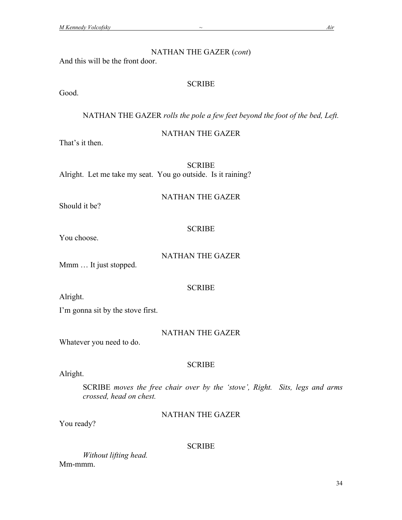And this will be the front door.

# **SCRIBE**

Good.

NATHAN THE GAZER *rolls the pole a few feet beyond the foot of the bed, Left.*

# NATHAN THE GAZER

That's it then.

SCRIBE Alright. Let me take my seat. You go outside. Is it raining?

# NATHAN THE GAZER

Should it be?

# SCRIBE

You choose.

# NATHAN THE GAZER

Mmm … It just stopped.

# **SCRIBE**

Alright.

I'm gonna sit by the stove first.

# NATHAN THE GAZER

Whatever you need to do.

# **SCRIBE**

Alright.

SCRIBE *moves the free chair over by the 'stove', Right. Sits, legs and arms crossed, head on chest.*

# NATHAN THE GAZER

You ready?

# **SCRIBE**

*Without lifting head.* Mm-mmm.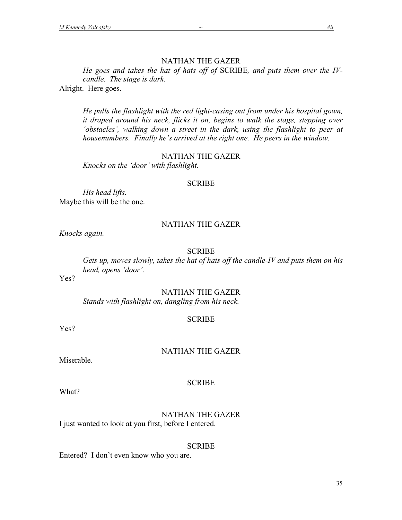*He goes and takes the hat of hats off of* SCRIBE*, and puts them over the IVcandle. The stage is dark.*

Alright. Here goes.

*He pulls the flashlight with the red light-casing out from under his hospital gown, it draped around his neck, flicks it on, begins to walk the stage, stepping over 'obstacles', walking down a street in the dark, using the flashlight to peer at housenumbers. Finally he's arrived at the right one. He peers in the window.*

## NATHAN THE GAZER

*Knocks on the 'door' with flashlight.*

#### SCRIBE

*His head lifts.* Maybe this will be the one.

# NATHAN THE GAZER

*Knocks again.*

# **SCRIBE**

*Gets up, moves slowly, takes the hat of hats off the candle-IV and puts them on his head, opens 'door'.*

Yes?

# NATHAN THE GAZER

*Stands with flashlight on, dangling from his neck.* 

# SCRIBE

Yes?

# NATHAN THE GAZER

Miserable.

# SCRIBE

What?

NATHAN THE GAZER I just wanted to look at you first, before I entered.

# **SCRIBE**

Entered? I don't even know who you are.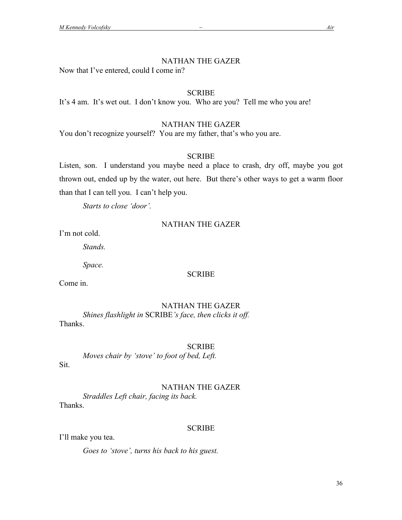Now that I've entered, could I come in?

# SCRIBE

It's 4 am. It's wet out. I don't know you. Who are you? Tell me who you are!

# NATHAN THE GAZER

You don't recognize yourself? You are my father, that's who you are.

# **SCRIBE**

Listen, son. I understand you maybe need a place to crash, dry off, maybe you got thrown out, ended up by the water, out here. But there's other ways to get a warm floor than that I can tell you. I can't help you.

*Starts to close 'door'.*

# NATHAN THE GAZER

I'm not cold.

*Stands.*

*Space.*

# **SCRIBE**

Come in.

# NATHAN THE GAZER

*Shines flashlight in* SCRIBE*'s face, then clicks it off.* Thanks.

> **SCRIBE** *Moves chair by 'stove' to foot of bed, Left.*

Sit.

# NATHAN THE GAZER

*Straddles Left chair, facing its back.* Thanks.

# SCRIBE

I'll make you tea.

*Goes to 'stove', turns his back to his guest.*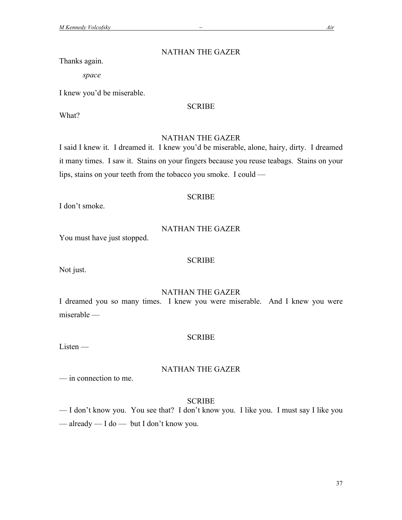Thanks again.

*space*

I knew you'd be miserable.

# **SCRIBE**

What?

# NATHAN THE GAZER

I said I knew it. I dreamed it. I knew you'd be miserable, alone, hairy, dirty. I dreamed it many times. I saw it. Stains on your fingers because you reuse teabags. Stains on your lips, stains on your teeth from the tobacco you smoke. I could —

# **SCRIBE**

I don't smoke.

# NATHAN THE GAZER

You must have just stopped.

Not just.

# NATHAN THE GAZER

I dreamed you so many times. I knew you were miserable. And I knew you were miserable —

# SCRIBE

Listen —

# NATHAN THE GAZER

— in connection to me.

# **SCRIBE**

— I don't know you. You see that? I don't know you. I like you. I must say I like you — already — I do — but I don't know you.

SCRIBE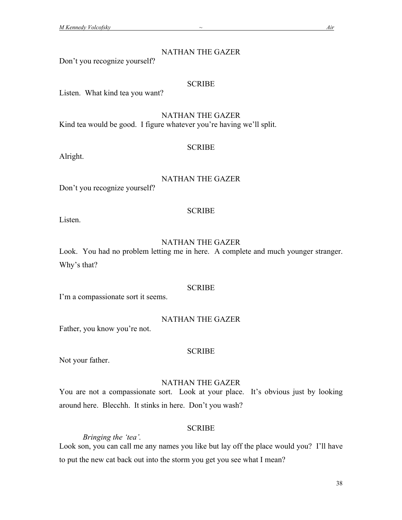Don't you recognize yourself?

# **SCRIBE**

Listen. What kind tea you want?

# NATHAN THE GAZER

Kind tea would be good. I figure whatever you're having we'll split.

# SCRIBE

Alright.

# NATHAN THE GAZER

**SCRIBE** 

Don't you recognize yourself?

# Listen.

# NATHAN THE GAZER

Look. You had no problem letting me in here. A complete and much younger stranger. Why's that?

# **SCRIBE**

I'm a compassionate sort it seems.

NATHAN THE GAZER

Father, you know you're not.

# **SCRIBE**

Not your father.

# NATHAN THE GAZER

You are not a compassionate sort. Look at your place. It's obvious just by looking around here. Blecchh. It stinks in here. Don't you wash?

# SCRIBE

*Bringing the 'tea'.* Look son, you can call me any names you like but lay off the place would you? I'll have to put the new cat back out into the storm you get you see what I mean?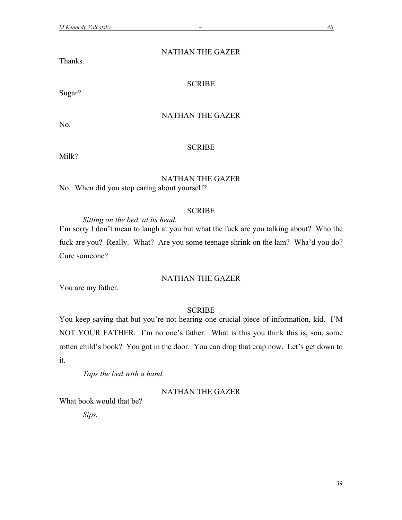Thanks.

# SCRIBE

Sugar?

# NATHAN THE GAZER

No.

#### **SCRIBE**

Milk?

#### NATHAN THE GAZER

No. When did you stop caring about yourself?

# **SCRIBE**

*Sitting on the bed, at its head.*

I'm sorry I don't mean to laugh at you but what the fuck are you talking about? Who the fuck are you? Really. What? Are you some teenage shrink on the lam? Wha'd you do? Cure someone?

# NATHAN THE GAZER

You are my father.

#### SCRIBE

You keep saying that but you're not hearing one crucial piece of information, kid. I'M NOT YOUR FATHER. I'm no one's father. What is this you think this is, son, some rotten child's book? You got in the door. You can drop that crap now. Let's get down to it.

*Taps the bed with a hand.*

NATHAN THE GAZER

What book would that be?

*Sips.*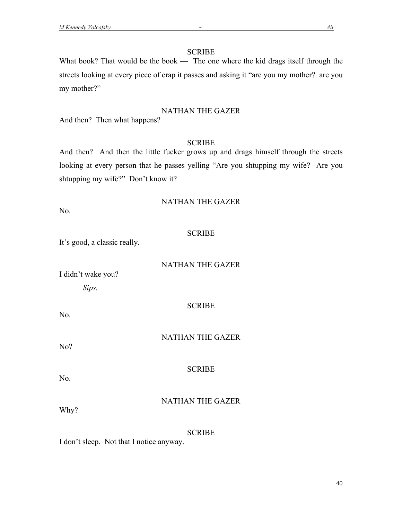#### **SCRIBE**

What book? That would be the book — The one where the kid drags itself through the streets looking at every piece of crap it passes and asking it "are you my mother? are you my mother?"

# NATHAN THE GAZER

And then? Then what happens?

# **SCRIBE**

And then? And then the little fucker grows up and drags himself through the streets looking at every person that he passes yelling "Are you shtupping my wife? Are you shtupping my wife?" Don't know it?

# NATHAN THE GAZER

No.

# SCRIBE

It's good, a classic really.

I didn't wake you? *Sips.*

SCRIBE

No.

NATHAN THE GAZER

No?

No.

# **SCRIBE**

NATHAN THE GAZER

Why?

# SCRIBE

I don't sleep. Not that I notice anyway.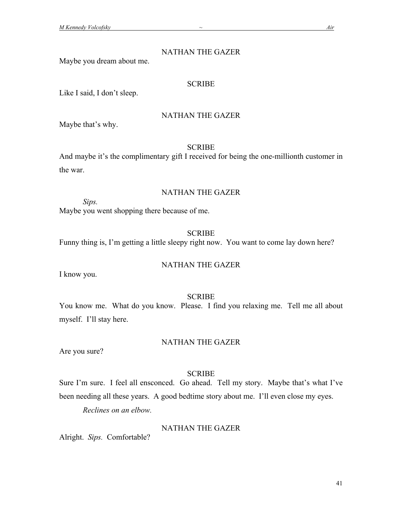Maybe you dream about me.

# **SCRIBE**

Like I said, I don't sleep.

# NATHAN THE GAZER

Maybe that's why.

# **SCRIBE**

And maybe it's the complimentary gift I received for being the one-millionth customer in the war.

# NATHAN THE GAZER

*Sips.*

Maybe you went shopping there because of me.

# **SCRIBE**

Funny thing is, I'm getting a little sleepy right now. You want to come lay down here?

# NATHAN THE GAZER

I know you.

# SCRIBE

You know me. What do you know. Please. I find you relaxing me. Tell me all about myself. I'll stay here.

# NATHAN THE GAZER

Are you sure?

# **SCRIBE**

Sure I'm sure. I feel all ensconced. Go ahead. Tell my story. Maybe that's what I've been needing all these years. A good bedtime story about me. I'll even close my eyes.

*Reclines on an elbow.*

# NATHAN THE GAZER

Alright. *Sips.* Comfortable?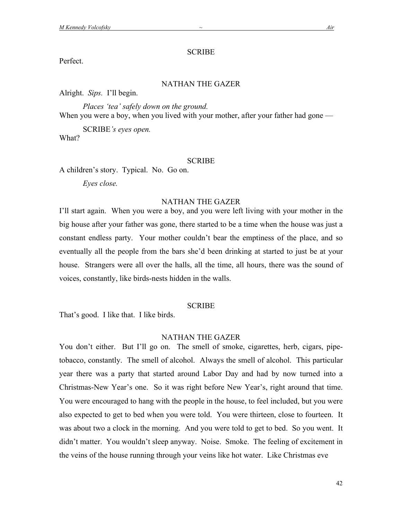#### SCRIBE

Perfect.

#### NATHAN THE GAZER

Alright. *Sips.* I'll begin.

*Places 'tea' safely down on the ground.* When you were a boy, when you lived with your mother, after your father had gone —

SCRIBE*'s eyes open.* What?

#### SCRIBE

A children's story. Typical. No. Go on.

*Eyes close.*

#### NATHAN THE GAZER

I'll start again. When you were a boy, and you were left living with your mother in the big house after your father was gone, there started to be a time when the house was just a constant endless party. Your mother couldn't bear the emptiness of the place, and so eventually all the people from the bars she'd been drinking at started to just be at your house. Strangers were all over the halls, all the time, all hours, there was the sound of voices, constantly, like birds-nests hidden in the walls.

#### SCRIBE

That's good. I like that. I like birds.

#### NATHAN THE GAZER

You don't either. But I'll go on. The smell of smoke, cigarettes, herb, cigars, pipetobacco, constantly. The smell of alcohol. Always the smell of alcohol. This particular year there was a party that started around Labor Day and had by now turned into a Christmas-New Year's one. So it was right before New Year's, right around that time. You were encouraged to hang with the people in the house, to feel included, but you were also expected to get to bed when you were told. You were thirteen, close to fourteen. It was about two a clock in the morning. And you were told to get to bed. So you went. It didn't matter. You wouldn't sleep anyway. Noise. Smoke. The feeling of excitement in the veins of the house running through your veins like hot water. Like Christmas eve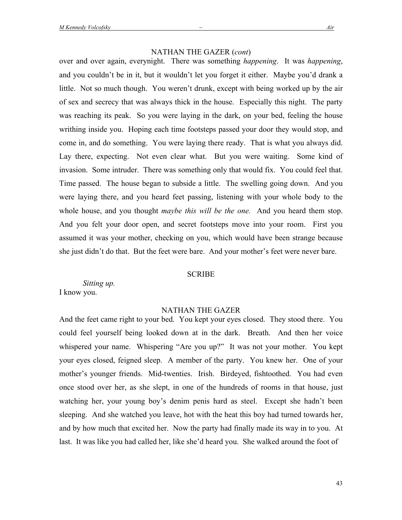over and over again, everynight. There was something *happening*. It was *happening*, and you couldn't be in it, but it wouldn't let you forget it either. Maybe you'd drank a little. Not so much though. You weren't drunk, except with being worked up by the air of sex and secrecy that was always thick in the house. Especially this night. The party was reaching its peak. So you were laying in the dark, on your bed, feeling the house writhing inside you. Hoping each time footsteps passed your door they would stop, and come in, and do something. You were laying there ready. That is what you always did. Lay there, expecting. Not even clear what. But you were waiting. Some kind of invasion. Some intruder. There was something only that would fix. You could feel that. Time passed. The house began to subside a little. The swelling going down. And you were laying there, and you heard feet passing, listening with your whole body to the whole house, and you thought *maybe this will be the one.* And you heard them stop. And you felt your door open, and secret footsteps move into your room. First you assumed it was your mother, checking on you, which would have been strange because she just didn't do that. But the feet were bare. And your mother's feet were never bare.

#### SCRIBE

*Sitting up.* I know you.

#### NATHAN THE GAZER

And the feet came right to your bed. You kept your eyes closed. They stood there. You could feel yourself being looked down at in the dark. Breath. And then her voice whispered your name. Whispering "Are you up?" It was not your mother. You kept your eyes closed, feigned sleep. A member of the party. You knew her. One of your mother's younger friends. Mid-twenties. Irish. Birdeyed, fishtoothed. You had even once stood over her, as she slept, in one of the hundreds of rooms in that house, just watching her, your young boy's denim penis hard as steel. Except she hadn't been sleeping. And she watched you leave, hot with the heat this boy had turned towards her, and by how much that excited her. Now the party had finally made its way in to you. At last. It was like you had called her, like she'd heard you. She walked around the foot of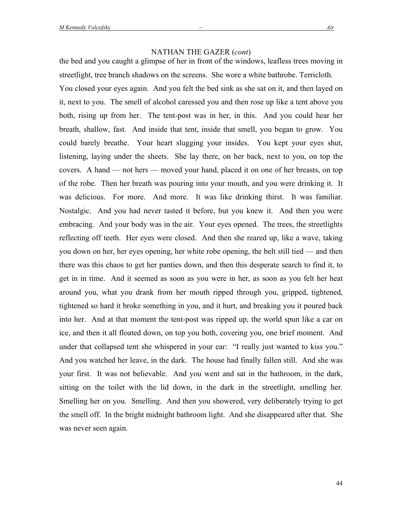the bed and you caught a glimpse of her in front of the windows, leafless trees moving in streetlight, tree branch shadows on the screens. She wore a white bathrobe. Terricloth.

You closed your eyes again. And you felt the bed sink as she sat on it, and then layed on it, next to you. The smell of alcohol caressed you and then rose up like a tent above you both, rising up from her. The tent-post was in her, in this. And you could hear her breath, shallow, fast. And inside that tent, inside that smell, you began to grow. You could barely breathe. Your heart slugging your insides. You kept your eyes shut, listening, laying under the sheets. She lay there, on her back, next to you, on top the covers. A hand — not hers — moved your hand, placed it on one of her breasts, on top of the robe. Then her breath was pouring into your mouth, and you were drinking it. It was delicious. For more. And more. It was like drinking thirst. It was familiar. Nostalgic. And you had never tasted it before, but you knew it. And then you were embracing. And your body was in the air. Your eyes opened. The trees, the streetlights reflecting off teeth. Her eyes were closed. And then she reared up, like a wave, taking you down on her, her eyes opening, her white robe opening, the belt still tied — and then there was this chaos to get her panties down, and then this desperate search to find it, to get in in time. And it seemed as soon as you were in her, as soon as you felt her heat around you, what you drank from her mouth ripped through you, gripped, tightened, tightened so hard it broke something in you, and it hurt, and breaking you it poured back into her. And at that moment the tent-post was ripped up, the world spun like a car on ice, and then it all floated down, on top you both, covering you, one brief moment. And under that collapsed tent she whispered in your ear: "I really just wanted to kiss you." And you watched her leave, in the dark. The house had finally fallen still. And she was your first. It was not believable. And you went and sat in the bathroom, in the dark, sitting on the toilet with the lid down, in the dark in the streetlight, smelling her. Smelling her on you. Smelling. And then you showered, very deliberately trying to get the smell off. In the bright midnight bathroom light. And she disappeared after that. She was never seen again.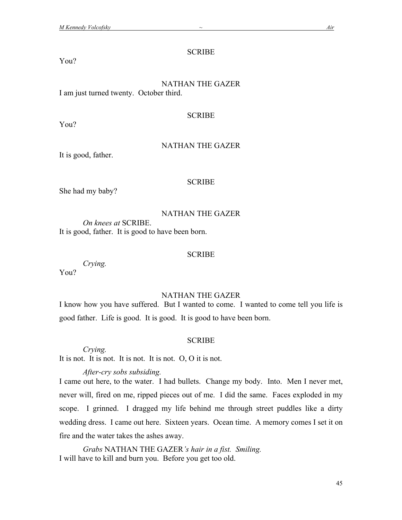# SCRIBE

You?

# NATHAN THE GAZER

I am just turned twenty. October third.

# SCRIBE

You?

# NATHAN THE GAZER

It is good, father.

# **SCRIBE**

She had my baby?

# NATHAN THE GAZER

*On knees at* SCRIBE. It is good, father. It is good to have been born.

# SCRIBE

*Crying.*

You?

# NATHAN THE GAZER

I know how you have suffered. But I wanted to come. I wanted to come tell you life is good father. Life is good. It is good. It is good to have been born.

# SCRIBE

*Crying.*

It is not. It is not. It is not. It is not. O, O it is not.

*After-cry sobs subsiding.*

I came out here, to the water. I had bullets. Change my body. Into. Men I never met, never will, fired on me, ripped pieces out of me. I did the same. Faces exploded in my scope. I grinned. I dragged my life behind me through street puddles like a dirty wedding dress. I came out here. Sixteen years. Ocean time. A memory comes I set it on fire and the water takes the ashes away.

*Grabs* NATHAN THE GAZER*'s hair in a fist. Smiling.* I will have to kill and burn you. Before you get too old.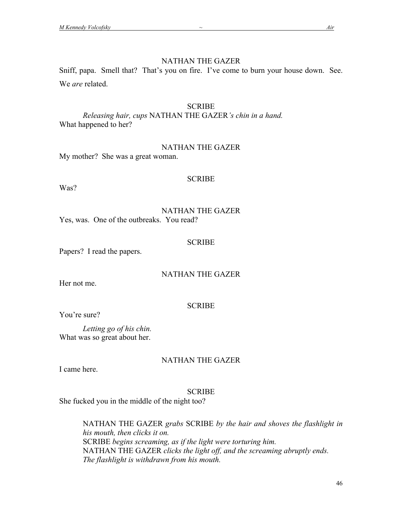Sniff, papa. Smell that? That's you on fire. I've come to burn your house down. See. We *are* related.

#### **SCRIBE**

*Releasing hair, cups* NATHAN THE GAZER*'s chin in a hand.* What happened to her?

# NATHAN THE GAZER

My mother? She was a great woman.

Was?

SCRIBE

NATHAN THE GAZER Yes, was. One of the outbreaks. You read?

# **SCRIBE**

Papers? I read the papers.

# NATHAN THE GAZER

Her not me.

# **SCRIBE**

You're sure?

*Letting go of his chin.* What was so great about her.

# NATHAN THE GAZER

I came here.

# SCRIBE

She fucked you in the middle of the night too?

NATHAN THE GAZER *grabs* SCRIBE *by the hair and shoves the flashlight in his mouth, then clicks it on.*  SCRIBE *begins screaming, as if the light were torturing him.* NATHAN THE GAZER *clicks the light off, and the screaming abruptly ends. The flashlight is withdrawn from his mouth.*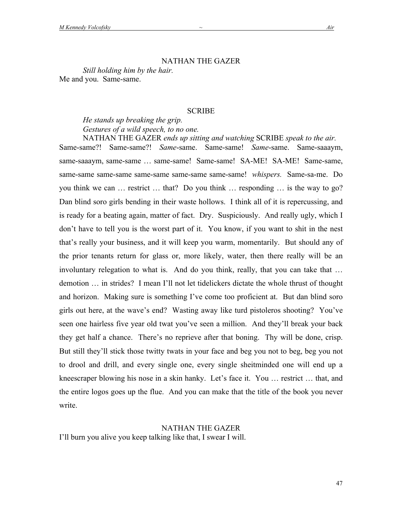*Still holding him by the hair.* Me and you. Same-same.

#### SCRIBE

*He stands up breaking the grip. Gestures of a wild speech, to no one.* NATHAN THE GAZER *ends up sitting and watching* SCRIBE *speak to the air.*

Same-same?! Same-same?! *Same*-same. Same-same! *Same*-same. Same-saaaym, same-saaaym, same-same … same-same! Same-same! SA-ME! SA-ME! Same-same, same-same same-same same-same same-same same-same! *whispers.* Same-sa-me. Do you think we can … restrict … that? Do you think … responding … is the way to go? Dan blind soro girls bending in their waste hollows. I think all of it is repercussing, and is ready for a beating again, matter of fact. Dry. Suspiciously. And really ugly, which I don't have to tell you is the worst part of it. You know, if you want to shit in the nest that's really your business, and it will keep you warm, momentarily. But should any of the prior tenants return for glass or, more likely, water, then there really will be an involuntary relegation to what is. And do you think, really, that you can take that … demotion … in strides? I mean I'll not let tidelickers dictate the whole thrust of thought and horizon. Making sure is something I've come too proficient at. But dan blind soro girls out here, at the wave's end? Wasting away like turd pistoleros shooting? You've seen one hairless five year old twat you've seen a million. And they'll break your back they get half a chance. There's no reprieve after that boning. Thy will be done, crisp. But still they'll stick those twitty twats in your face and beg you not to beg, beg you not to drool and drill, and every single one, every single sheitminded one will end up a kneescraper blowing his nose in a skin hanky. Let's face it. You … restrict … that, and the entire logos goes up the flue. And you can make that the title of the book you never write.

# NATHAN THE GAZER

I'll burn you alive you keep talking like that, I swear I will.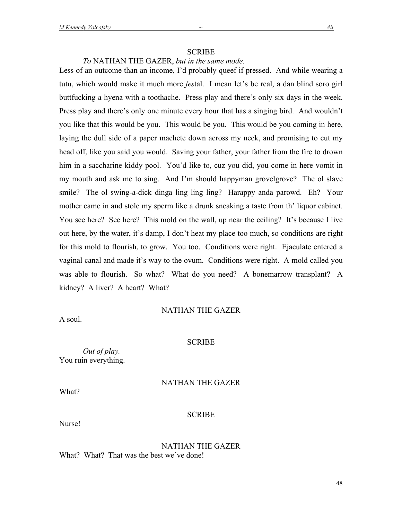#### **SCRIBE**

# *To* NATHAN THE GAZER, *but in the same mode.*

Less of an outcome than an income, I'd probably queef if pressed. And while wearing a tutu, which would make it much more *fes*tal. I mean let's be real, a dan blind soro girl buttfucking a hyena with a toothache. Press play and there's only six days in the week. Press play and there's only one minute every hour that has a singing bird. And wouldn't you like that this would be you. This would be you. This would be you coming in here, laying the dull side of a paper machete down across my neck, and promising to cut my head off, like you said you would. Saving your father, your father from the fire to drown him in a saccharine kiddy pool. You'd like to, cuz you did, you come in here vomit in my mouth and ask me to sing. And I'm should happyman grovelgrove? The ol slave smile? The ol swing-a-dick dinga ling ling ling? Harappy anda parowd. Eh? Your mother came in and stole my sperm like a drunk sneaking a taste from th' liquor cabinet. You see here? See here? This mold on the wall, up near the ceiling? It's because I live out here, by the water, it's damp, I don't heat my place too much, so conditions are right for this mold to flourish, to grow. You too. Conditions were right. Ejaculate entered a vaginal canal and made it's way to the ovum. Conditions were right. A mold called you was able to flourish. So what? What do you need? A bonemarrow transplant? A kidney? A liver? A heart? What?

A soul.

# NATHAN THE GAZER

# SCRIBE

*Out of play.* You ruin everything.

# NATHAN THE GAZER

What?

# SCRIBE

Nurse!

NATHAN THE GAZER What? What? That was the best we've done!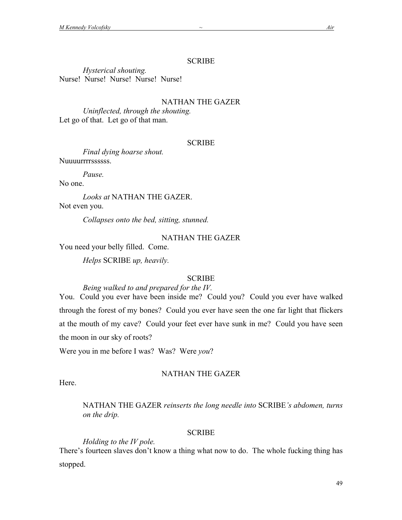## **SCRIBE**

*Hysterical shouting.* Nurse! Nurse! Nurse! Nurse! Nurse!

# NATHAN THE GAZER

*Uninflected, through the shouting.*  Let go of that. Let go of that man.

# **SCRIBE**

*Final dying hoarse shout.* Nuuuurrrrssssss.

*Pause.*

No one.

*Looks at* NATHAN THE GAZER. Not even you.

*Collapses onto the bed, sitting, stunned.*

# NATHAN THE GAZER

You need your belly filled. Come.

*Helps* SCRIBE *up, heavily.*

# **SCRIBE**

*Being walked to and prepared for the IV.*

You. Could you ever have been inside me? Could you? Could you ever have walked through the forest of my bones? Could you ever have seen the one far light that flickers at the mouth of my cave? Could your feet ever have sunk in me? Could you have seen the moon in our sky of roots?

Were you in me before I was? Was? Were *you*?

# NATHAN THE GAZER

Here.

NATHAN THE GAZER *reinserts the long needle into* SCRIBE*'s abdomen, turns on the drip.*

# SCRIBE

*Holding to the IV pole.*

There's fourteen slaves don't know a thing what now to do. The whole fucking thing has stopped.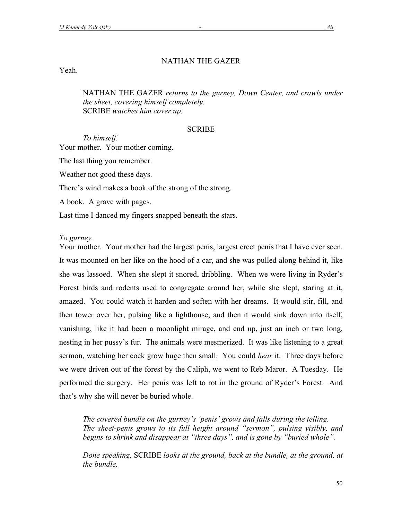Yeah.

NATHAN THE GAZER *returns to the gurney, Down Center, and crawls under the sheet, covering himself completely.* SCRIBE *watches him cover up.*

# SCRIBE

*To himself.* Your mother. Your mother coming. The last thing you remember. Weather not good these days. There's wind makes a book of the strong of the strong. A book. A grave with pages. Last time I danced my fingers snapped beneath the stars.

*To gurney.*

Your mother. Your mother had the largest penis, largest erect penis that I have ever seen. It was mounted on her like on the hood of a car, and she was pulled along behind it, like she was lassoed. When she slept it snored, dribbling. When we were living in Ryder's Forest birds and rodents used to congregate around her, while she slept, staring at it, amazed. You could watch it harden and soften with her dreams. It would stir, fill, and then tower over her, pulsing like a lighthouse; and then it would sink down into itself, vanishing, like it had been a moonlight mirage, and end up, just an inch or two long, nesting in her pussy's fur. The animals were mesmerized. It was like listening to a great sermon, watching her cock grow huge then small. You could *hear* it. Three days before we were driven out of the forest by the Caliph, we went to Reb Maror. A Tuesday. He performed the surgery. Her penis was left to rot in the ground of Ryder's Forest. And that's why she will never be buried whole.

*The covered bundle on the gurney's 'penis' grows and falls during the telling. The sheet-penis grows to its full height around "sermon", pulsing visibly, and begins to shrink and disappear at "three days", and is gone by "buried whole".* 

*Done speaking,* SCRIBE *looks at the ground, back at the bundle, at the ground, at the bundle.*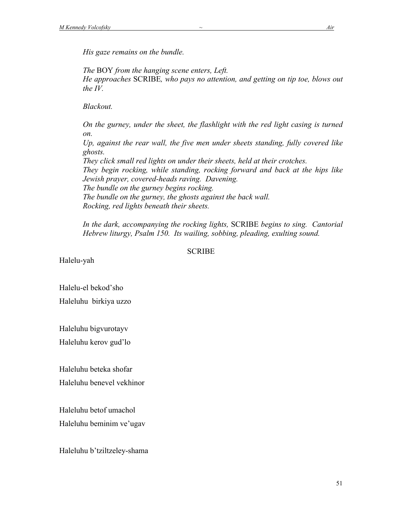*His gaze remains on the bundle.*

*The* BOY *from the hanging scene enters, Left. He approaches* SCRIBE*, who pays no attention, and getting on tip toe, blows out the IV.*

*Blackout.*

*On the gurney, under the sheet, the flashlight with the red light casing is turned on.*

*Up, against the rear wall, the five men under sheets standing, fully covered like ghosts.* 

*They click small red lights on under their sheets, held at their crotches. They begin rocking, while standing, rocking forward and back at the hips like Jewish prayer, covered-heads raving. Davening. The bundle on the gurney begins rocking. The bundle on the gurney, the ghosts against the back wall. Rocking, red lights beneath their sheets.*

*In the dark, accompanying the rocking lights,* SCRIBE *begins to sing. Cantorial Hebrew liturgy, Psalm 150. Its wailing, sobbing, pleading, exulting sound.*

# **SCRIBE**

Halelu-yah

Halelu-el bekod'sho

Haleluhu birkiya uzzo

Haleluhu bigvurotayv

Haleluhu kerov gud'lo

Haleluhu beteka shofar

Haleluhu benevel vekhinor

Haleluhu betof umachol Haleluhu beminim ve'ugav

Haleluhu b'tziltzeley-shama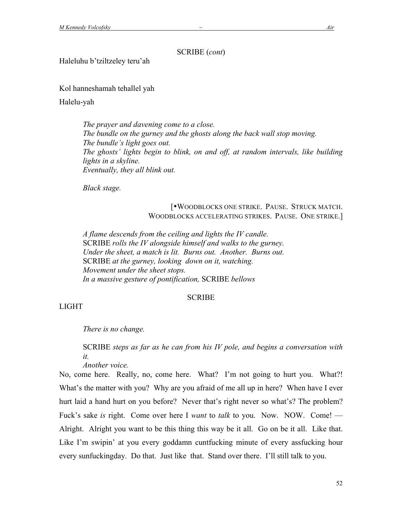Haleluhu b'tziltzeley teru'ah

Kol hanneshamah tehallel yah

Halelu-yah

*The prayer and davening come to a close. The bundle on the gurney and the ghosts along the back wall stop moving. The bundle's light goes out. The ghosts' lights begin to blink, on and off, at random intervals, like building lights in a skyline. Eventually, they all blink out.*

*Black stage.*

# [•WOODBLOCKS ONE STRIKE. PAUSE. STRUCK MATCH. WOODBLOCKS ACCELERATING STRIKES. PAUSE. ONE STRIKE.]

*A flame descends from the ceiling and lights the IV candle.* SCRIBE *rolls the IV alongside himself and walks to the gurney. Under the sheet, a match is lit. Burns out. Another. Burns out.* SCRIBE *at the gurney, looking down on it, watching. Movement under the sheet stops. In a massive gesture of pontification,* SCRIBE *bellows*

# **SCRIBE**

# LIGHT

*There is no change.*

SCRIBE *steps as far as he can from his IV pole, and begins a conversation with it. Another voice.*

No, come here. Really, no, come here. What? I'm not going to hurt you. What?! What's the matter with you? Why are you afraid of me all up in here? When have I ever hurt laid a hand hurt on you before? Never that's right never so what's? The problem? Fuck's sake *is* right. Come over here I *want* to *talk* to you. Now. NOW. Come! — Alright. Alright you want to be this thing this way be it all. Go on be it all. Like that. Like I'm swipin' at you every goddamn cuntfucking minute of every assfucking hour every sunfuckingday. Do that. Just like that. Stand over there. I'll still talk to you.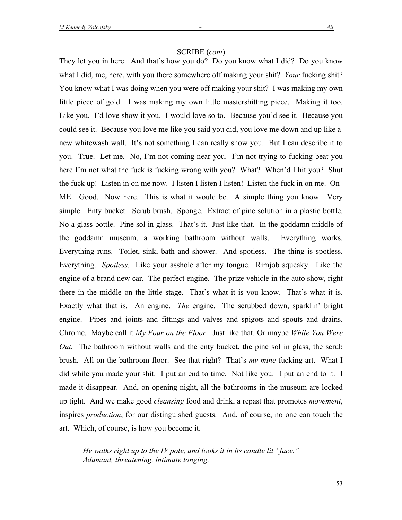They let you in here. And that's how you do? Do you know what I did? Do you know what I did, me, here, with you there somewhere off making your shit? *Your* fucking shit? You know what I was doing when you were off making your shit? I was making my own little piece of gold. I was making my own little mastershitting piece. Making it too. Like you. I'd love show it you. I would love so to. Because you'd see it. Because you could see it. Because you love me like you said you did, you love me down and up like a new whitewash wall. It's not something I can really show you. But I can describe it to you. True. Let me. No, I'm not coming near you. I'm not trying to fucking beat you here I'm not what the fuck is fucking wrong with you? What? When'd I hit you? Shut the fuck up! Listen in on me now. I listen I listen I listen! Listen the fuck in on me. On ME. Good. Now here. This is what it would be. A simple thing you know. Very simple. Enty bucket. Scrub brush. Sponge. Extract of pine solution in a plastic bottle. No a glass bottle. Pine sol in glass. That's it. Just like that. In the goddamn middle of the goddamn museum, a working bathroom without walls. Everything works. Everything runs. Toilet, sink, bath and shower. And spotless. The thing is spotless. Everything. *Spotless.* Like your asshole after my tongue. Rimjob squeaky. Like the engine of a brand new car. The perfect engine. The prize vehicle in the auto show, right there in the middle on the little stage. That's what it is you know. That's what it is. Exactly what that is. An engine. *The* engine. The scrubbed down, sparklin' bright engine. Pipes and joints and fittings and valves and spigots and spouts and drains. Chrome. Maybe call it *My Four on the Floor*. Just like that. Or maybe *While You Were Out.* The bathroom without walls and the enty bucket, the pine sol in glass, the scrub brush. All on the bathroom floor. See that right? That's *my mine* fucking art. What I did while you made your shit. I put an end to time. Not like you. I put an end to it. I made it disappear. And, on opening night, all the bathrooms in the museum are locked up tight. And we make good *cleansing* food and drink, a repast that promotes *movement*, inspires *production*, for our distinguished guests. And, of course, no one can touch the art. Which, of course, is how you become it.

*He walks right up to the IV pole, and looks it in its candle lit "face." Adamant, threatening, intimate longing.*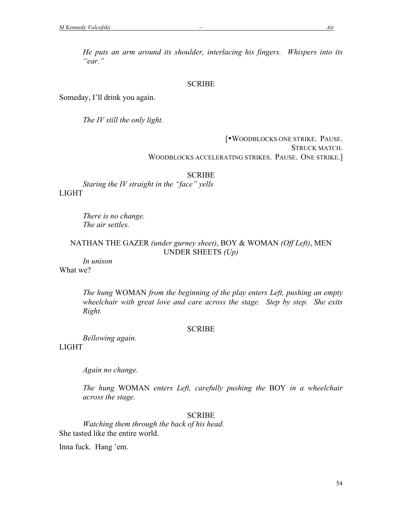*He puts an arm around its shoulder, interlacing his fingers. Whispers into its "ear."*

#### **SCRIBE**

Someday, I'll drink you again.

*The IV still the only light.*

# [•WOODBLOCKS ONE STRIKE. PAUSE. STRUCK MATCH. WOODBLOCKS ACCELERATING STRIKES. PAUSE. ONE STRIKE.]

**SCRIBE** 

*Staring the IV straight in the "face" yells* LIGHT

> *There is no change. The air settles.*

# NATHAN THE GAZER *(under gurney sheet)*, BOY & WOMAN *(Off Left)*, MEN UNDER SHEETS *(Up)*

*In unison* What we?

> *The hung* WOMAN *from the beginning of the play enters Left, pushing an empty wheelchair with great love and care across the stage. Step by step. She exits Right.*

#### **SCRIBE**

*Bellowing again.* LIGHT

*Again no change.*

*The hung* WOMAN *enters Left, carefully pushing the* BOY *in a wheelchair across the stage.*

# **SCRIBE**

*Watching them through the back of his head.* She tasted like the entire world.

Inna fuck. Hang 'em.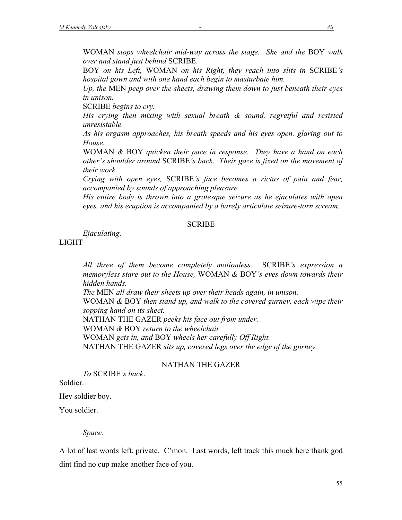WOMAN *stops wheelchair mid-way across the stage. She and the* BOY *walk over and stand just behind* SCRIBE.

BOY *on his Left,* WOMAN *on his Right, they reach into slits in* SCRIBE*'s hospital gown and with one hand each begin to masturbate him.*

*Up, the* MEN *peep over the sheets, drawing them down to just beneath their eyes in unison.*

SCRIBE *begins to cry.*

*His crying then mixing with sexual breath & sound, regretful and resisted unresistable.*

*As his orgasm approaches, his breath speeds and his eyes open, glaring out to House.*

WOMAN *&* BOY *quicken their pace in response. They have a hand on each other's shoulder around* SCRIBE*'s back. Their gaze is fixed on the movement of their work.*

*Crying with open eyes,* SCRIBE*'s face becomes a rictus of pain and fear, accompanied by sounds of approaching pleasure.*

*His entire body is thrown into a grotesque seizure as he ejaculates with open eyes, and his eruption is accompanied by a barely articulate seizure-torn scream.*

#### **SCRIBE**

*Ejaculating.*

LIGHT

*All three of them become completely motionless.* SCRIBE*'s expression a memoryless stare out to the House,* WOMAN *&* BOY*'s eyes down towards their hidden hands.*

*The* MEN *all draw their sheets up over their heads again, in unison.* WOMAN *&* BOY *then stand up, and walk to the covered gurney, each wipe their sopping hand on its sheet.* NATHAN THE GAZER *peeks his face out from under.* WOMAN *&* BOY *return to the wheelchair.*  WOMAN *gets in, and* BOY *wheels her carefully Off Right.*

NATHAN THE GAZER *sits up, covered legs over the edge of the gurney.*

#### NATHAN THE GAZER

*To* SCRIBE*'s back*.

Soldier.

Hey soldier boy.

You soldier.

*Space.*

A lot of last words left, private. C'mon. Last words, left track this muck here thank god dint find no cup make another face of you.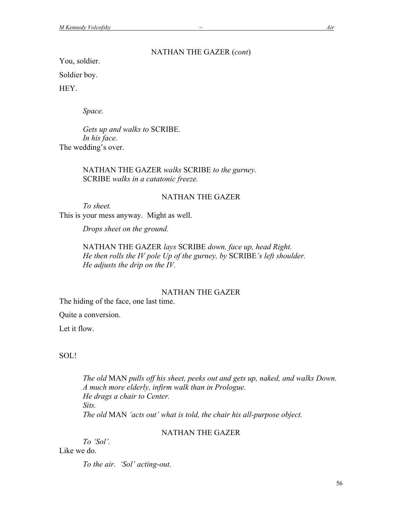You, soldier.

Soldier boy.

HEY.

*Space.*

*Gets up and walks to* SCRIBE. *In his face.* The wedding's over.

> NATHAN THE GAZER *walks* SCRIBE *to the gurney.*  SCRIBE *walks in a catatonic freeze.*

# NATHAN THE GAZER

*To sheet.* This is your mess anyway. Might as well.

*Drops sheet on the ground.*

NATHAN THE GAZER *lays* SCRIBE *down, face up, head Right. He then rolls the IV pole Up of the gurney, by* SCRIBE*'s left shoulder. He adjusts the drip on the IV.*

# NATHAN THE GAZER

The hiding of the face, one last time.

Quite a conversion.

Let it flow.

# SOL!

*The old* MAN *pulls off his sheet, peeks out and gets up, naked, and walks Down. A much more elderly, infirm walk than in Prologue. He drags a chair to Center. Sits. The old* MAN *'acts out' what is told, the chair his all-purpose object.*

# NATHAN THE GAZER

*To 'Sol'.*

Like we do.

*To the air. 'Sol' acting-out.*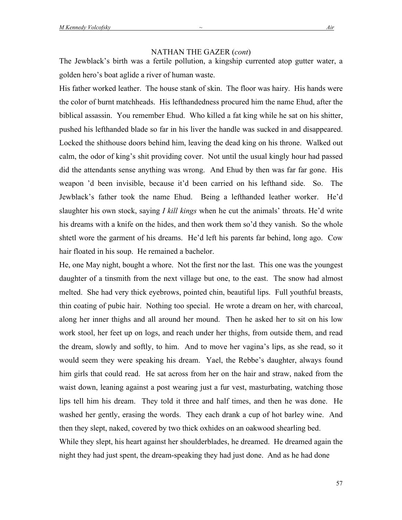The Jewblack's birth was a fertile pollution, a kingship currented atop gutter water, a golden hero's boat aglide a river of human waste.

His father worked leather. The house stank of skin. The floor was hairy. His hands were the color of burnt matchheads. His lefthandedness procured him the name Ehud, after the biblical assassin. You remember Ehud. Who killed a fat king while he sat on his shitter, pushed his lefthanded blade so far in his liver the handle was sucked in and disappeared. Locked the shithouse doors behind him, leaving the dead king on his throne. Walked out calm, the odor of king's shit providing cover. Not until the usual kingly hour had passed did the attendants sense anything was wrong. And Ehud by then was far far gone. His weapon 'd been invisible, because it'd been carried on his lefthand side. So. The Jewblack's father took the name Ehud. Being a lefthanded leather worker. He'd slaughter his own stock, saying *I kill kings* when he cut the animals' throats. He'd write his dreams with a knife on the hides, and then work them so'd they vanish. So the whole shtetl wore the garment of his dreams. He'd left his parents far behind, long ago. Cow hair floated in his soup. He remained a bachelor.

He, one May night, bought a whore. Not the first nor the last. This one was the youngest daughter of a tinsmith from the next village but one, to the east. The snow had almost melted. She had very thick eyebrows, pointed chin, beautiful lips. Full youthful breasts, thin coating of pubic hair. Nothing too special. He wrote a dream on her, with charcoal, along her inner thighs and all around her mound. Then he asked her to sit on his low work stool, her feet up on logs, and reach under her thighs, from outside them, and read the dream, slowly and softly, to him. And to move her vagina's lips, as she read, so it would seem they were speaking his dream. Yael, the Rebbe's daughter, always found him girls that could read. He sat across from her on the hair and straw, naked from the waist down, leaning against a post wearing just a fur vest, masturbating, watching those lips tell him his dream. They told it three and half times, and then he was done. He washed her gently, erasing the words. They each drank a cup of hot barley wine. And then they slept, naked, covered by two thick oxhides on an oakwood shearling bed. While they slept, his heart against her shoulderblades, he dreamed. He dreamed again the night they had just spent, the dream-speaking they had just done. And as he had done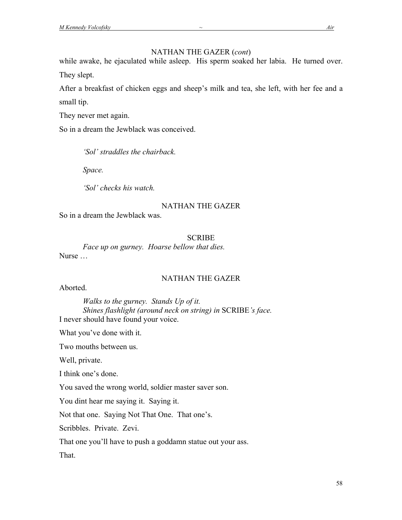while awake, he ejaculated while asleep. His sperm soaked her labia. He turned over. They slept.

After a breakfast of chicken eggs and sheep's milk and tea, she left, with her fee and a small tip.

They never met again.

So in a dream the Jewblack was conceived.

*'Sol' straddles the chairback.*

*Space.*

*'Sol' checks his watch.*

# NATHAN THE GAZER

So in a dream the Jewblack was.

# **SCRIBE**

*Face up on gurney. Hoarse bellow that dies.* Nurse …

# NATHAN THE GAZER

Aborted.

*Walks to the gurney. Stands Up of it. Shines flashlight (around neck on string) in* SCRIBE*'s face.* I never should have found your voice.

What you've done with it.

Two mouths between us.

Well, private.

I think one's done.

You saved the wrong world, soldier master saver son.

You dint hear me saying it. Saying it.

Not that one. Saying Not That One. That one's.

Scribbles. Private. Zevi.

That one you'll have to push a goddamn statue out your ass.

That.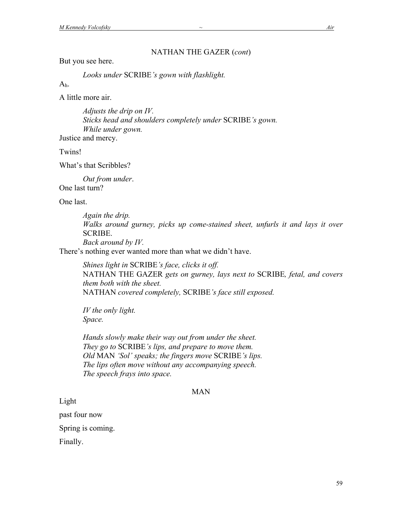But you see here.

*Looks under* SCRIBE*'s gown with flashlight.*

Ah.

A little more air.

*Adjusts the drip on IV. Sticks head and shoulders completely under* SCRIBE*'s gown. While under gown.* Justice and mercy.

Twins!

What's that Scribbles?

*Out from under*. One last turn?

One last.

*Again the drip. Walks around gurney, picks up come-stained sheet, unfurls it and lays it over*  SCRIBE.

*Back around by IV.*

There's nothing ever wanted more than what we didn't have.

*Shines light in* SCRIBE*'s face, clicks it off.* NATHAN THE GAZER *gets on gurney, lays next to* SCRIBE*, fetal, and covers them both with the sheet.* NATHAN *covered completely,* SCRIBE*'s face still exposed.*

*IV the only light. Space.*

*Hands slowly make their way out from under the sheet. They go to* SCRIBE*'s lips, and prepare to move them. Old* MAN *'Sol' speaks; the fingers move* SCRIBE*'s lips. The lips often move without any accompanying speech. The speech frays into space.*

MAN

Light

past four now

Spring is coming.

Finally.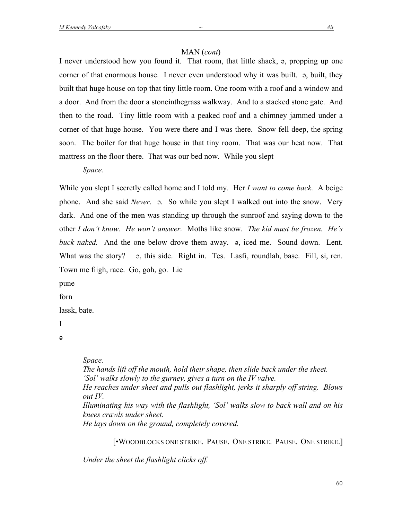#### MAN (*cont*)

I never understood how you found it. That room, that little shack, ǝ, propping up one corner of that enormous house. I never even understood why it was built. ǝ, built, they built that huge house on top that tiny little room. One room with a roof and a window and a door. And from the door a stoneinthegrass walkway. And to a stacked stone gate. And then to the road. Tiny little room with a peaked roof and a chimney jammed under a corner of that huge house. You were there and I was there. Snow fell deep, the spring soon. The boiler for that huge house in that tiny room. That was our heat now. That mattress on the floor there. That was our bed now. While you slept

*Space.*

While you slept I secretly called home and I told my. Her *I want to come back.* A beige phone. And she said *Never.* ǝ. So while you slept I walked out into the snow. Very dark. And one of the men was standing up through the sunroof and saying down to the other *I don't know. He won't answer.* Moths like snow. *The kid must be frozen. He's buck naked.* And the one below drove them away.  $\phi$ , iced me. Sound down. Lent. What was the story? 
a, this side. Right in. Tes. Lasfi, roundlah, base. Fill, si, ren. Town me fiigh, race. Go, goh, go. Lie

pune

forn

lassk, bate.

I

ǝ

# *Space.*

*The hands lift off the mouth, hold their shape, then slide back under the sheet. 'Sol' walks slowly to the gurney, gives a turn on the IV valve. He reaches under sheet and pulls out flashlight, jerks it sharply off string. Blows out IV. Illuminating his way with the flashlight, 'Sol' walks slow to back wall and on his knees crawls under sheet. He lays down on the ground, completely covered.*

[•WOODBLOCKS ONE STRIKE. PAUSE. ONE STRIKE. PAUSE. ONE STRIKE.]

*Under the sheet the flashlight clicks off.*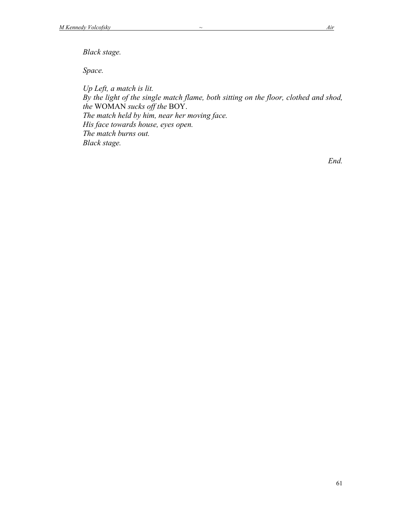*Black stage.*

*Space.*

*Up Left, a match is lit. By the light of the single match flame, both sitting on the floor, clothed and shod, the* WOMAN *sucks off the* BOY. *The match held by him, near her moving face. His face towards house, eyes open. The match burns out. Black stage.*

*End.*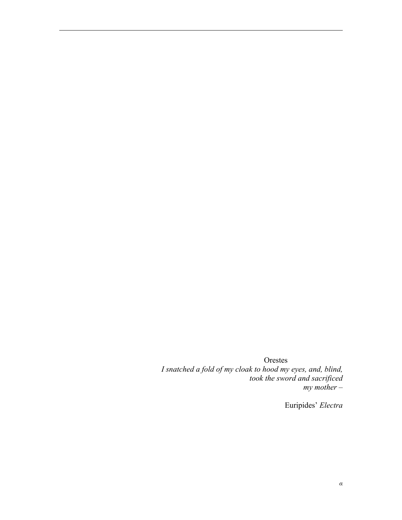Orestes *I snatched a fold of my cloak to hood my eyes, and, blind, took the sword and sacrificed my mother –*

Euripides' *Electra*